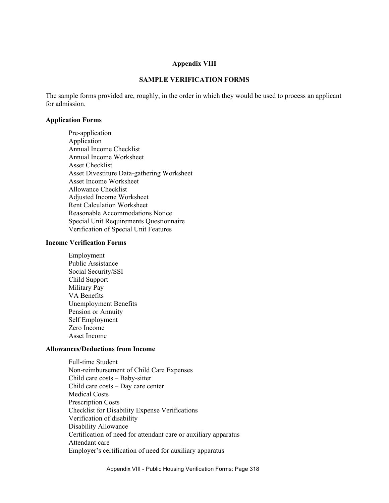#### **Appendix VIII**

#### **SAMPLE VERIFICATION FORMS**

The sample forms provided are, roughly, in the order in which they would be used to process an applicant for admission.

#### **Application Forms**

Pre-application Application Annual Income Checklist Annual Income Worksheet Asset Checklist Asset Divestiture Data-gathering Worksheet Asset Income Worksheet Allowance Checklist Adjusted Income Worksheet Rent Calculation Worksheet Reasonable Accommodations Notice Special Unit Requirements Questionnaire Verification of Special Unit Features

#### **Income Verification Forms**

Employment Public Assistance Social Security/SSI Child Support Military Pay VA Benefits Unemployment Benefits Pension or Annuity Self Employment Zero Income Asset Income

#### **Allowances/Deductions from Income**

Full-time Student Non-reimbursement of Child Care Expenses Child care costs – Baby-sitter Child care costs – Day care center Medical Costs Prescription Costs Checklist for Disability Expense Verifications Verification of disability Disability Allowance Certification of need for attendant care or auxiliary apparatus Attendant care Employer's certification of need for auxiliary apparatus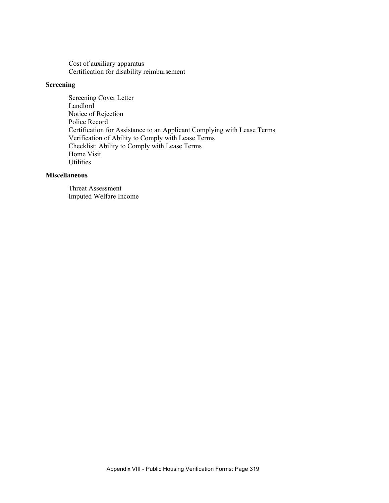Cost of auxiliary apparatus Certification for disability reimbursement

### **Screening**

Screening Cover Letter Landlord Notice of Rejection Police Record Certification for Assistance to an Applicant Complying with Lease Terms Verification of Ability to Comply with Lease Terms Checklist: Ability to Comply with Lease Terms Home Visit **Utilities** 

### **Miscellaneous**

Threat Assessment Imputed Welfare Income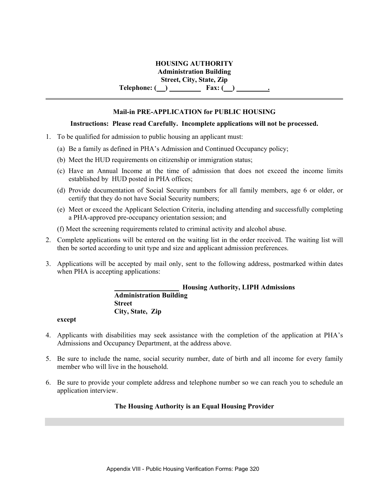### **HOUSING AUTHORITY**

**Administration Building** 

**Street, City, State, Zip** 

**Telephone: ( ) Fax: ( ) .**

### **Mail-in PRE-APPLICATION for PUBLIC HOUSING**

### **Instructions: Please read Carefully. Incomplete applications will not be processed.**

- 1. To be qualified for admission to public housing an applicant must:
	- (a) Be a family as defined in PHA's Admission and Continued Occupancy policy;
	- (b) Meet the HUD requirements on citizenship or immigration status;
	- (c) Have an Annual Income at the time of admission that does not exceed the income limits established by HUD posted in PHA offices;
	- (d) Provide documentation of Social Security numbers for all family members, age 6 or older, or certify that they do not have Social Security numbers;
	- (e) Meet or exceed the Applicant Selection Criteria, including attending and successfully completing a PHA-approved pre-occupancy orientation session; and
	- (f) Meet the screening requirements related to criminal activity and alcohol abuse.
- 2. Complete applications will be entered on the waiting list in the order received. The waiting list will then be sorted according to unit type and size and applicant admission preferences.
- 3. Applications will be accepted by mail only, sent to the following address, postmarked within dates when PHA is accepting applications:

### **Housing Authority, LIPH Admissions Administration Building Street City, State, Zip**

#### **except**

- 4. Applicants with disabilities may seek assistance with the completion of the application at PHA's Admissions and Occupancy Department, at the address above.
- 5. Be sure to include the name, social security number, date of birth and all income for every family member who will live in the household.
- 6. Be sure to provide your complete address and telephone number so we can reach you to schedule an application interview.

### **The Housing Authority is an Equal Housing Provider**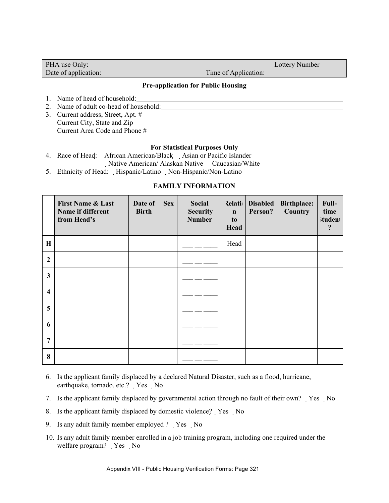| PHA use Only:        |                      | Lottery Number |
|----------------------|----------------------|----------------|
| Date of application: | Time of Application: |                |

### **Pre-application for Public Housing**

- 1. Name of head of household:
- 2. Name of adult co-head of household:
- 3. Current address, Street, Apt. # Current City, State and Zip Current Area Code and Phone #

#### **For Statistical Purposes Only**

4. Race of Head: African American/Black Asian or Pacific Islander

Native American/ Alaskan Native Caucasian/White

5. Ethnicity of Head: Hispanic/Latino Non-Hispanic/Non-Latino

### **FAMILY INFORMATION**

|                  | <b>First Name &amp; Last</b><br>Name if different<br>from Head's | Date of<br><b>Birth</b> | <b>Sex</b> | <b>Social</b><br><b>Security</b><br><b>Number</b> | <b>delational</b><br>$\mathbf n$<br>to<br>Head | <b>Disabled</b><br>Person? | <b>Birthplace:</b><br>Country | Full-<br>time<br><b>ituden</b><br>? |
|------------------|------------------------------------------------------------------|-------------------------|------------|---------------------------------------------------|------------------------------------------------|----------------------------|-------------------------------|-------------------------------------|
| $\mathbf H$      |                                                                  |                         |            |                                                   | Head                                           |                            |                               |                                     |
| $\overline{2}$   |                                                                  |                         |            |                                                   |                                                |                            |                               |                                     |
| 3                |                                                                  |                         |            |                                                   |                                                |                            |                               |                                     |
| $\boldsymbol{4}$ |                                                                  |                         |            |                                                   |                                                |                            |                               |                                     |
| 5                |                                                                  |                         |            |                                                   |                                                |                            |                               |                                     |
| 6                |                                                                  |                         |            |                                                   |                                                |                            |                               |                                     |
| $\overline{7}$   |                                                                  |                         |            |                                                   |                                                |                            |                               |                                     |
| 8                |                                                                  |                         |            |                                                   |                                                |                            |                               |                                     |

- 6. Is the applicant family displaced by a declared Natural Disaster, such as a flood, hurricane, earthquake, tornado, etc.? Yes No
- 7. Is the applicant family displaced by governmental action through no fault of their own? Yes No
- 8. Is the applicant family displaced by domestic violence? Yes No
- 9. Is any adult family member employed ? Yes No
- 10. Is any adult family member enrolled in a job training program, including one required under the welfare program? Yes No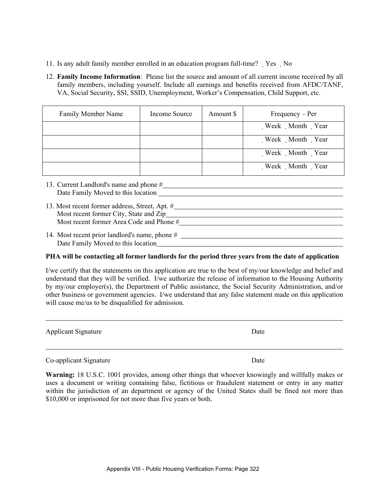- 11. Is any adult family member enrolled in an education program full-time? Yes No
- 12. **Family Income Information**: Please list the source and amount of all current income received by all family members, including yourself. Include all earnings and benefits received from AFDC/TANF, VA, Social Security, SSI, SSID, Unemployment, Worker's Compensation, Child Support, etc.

| Family Member Name | Income Source | Amount \$ | $Frequency - Per$ |
|--------------------|---------------|-----------|-------------------|
|                    |               |           | Week Month Year   |
|                    |               |           | Week Month Year   |
|                    |               |           | Week Month Year   |
|                    |               |           | Week Month Year   |

| 13. Current Landlord's name and phone #        |
|------------------------------------------------|
| Date Family Moved to this location             |
|                                                |
| 13. Most recent former address, Street, Apt. # |
| Most recent former City, State and Zip_        |
| Most recent former Area Code and Phone #       |

14. Most recent prior landlord's name, phone # Date Family Moved to this location

### **PHA will be contacting all former landlords for the period three years from the date of application**

I/we certify that the statements on this application are true to the best of my/our knowledge and belief and understand that they will be verified. I/we authorize the release of information to the Housing Authority by my/our employer(s), the Department of Public assistance, the Social Security Administration, and/or other business or government agencies. I/we understand that any false statement made on this application will cause me/us to be disqualified for admission.

| <b>Applicant Signature</b> | Date |
|----------------------------|------|
|                            |      |
|                            |      |

Co-applicant Signature Date

 $\overline{a}$ 

**Warning:** 18 U.S.C. 1001 provides, among other things that whoever knowingly and willfully makes or uses a document or writing containing false, fictitious or fraudulent statement or entry in any matter within the jurisdiction of an department or agency of the United States shall be fined not more than \$10,000 or imprisoned for not more than five years or both.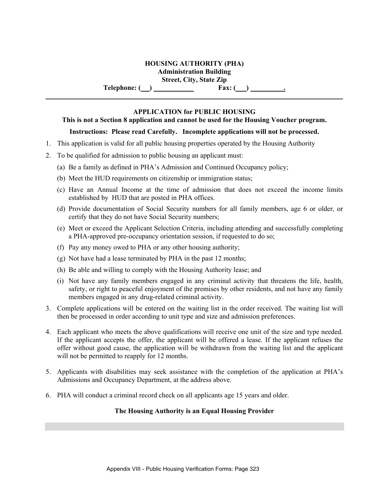### **HOUSING AUTHORITY (PHA) Administration Building**

**Street, City, State Zip** 

**Telephone:** ( ) **Fax:** ( )

### **APPLICATION for PUBLIC HOUSING**

### **This is not a Section 8 application and cannot be used for the Housing Voucher program.**

### **Instructions: Please read Carefully. Incomplete applications will not be processed.**

- 1. This application is valid for all public housing properties operated by the Housing Authority
- 2. To be qualified for admission to public housing an applicant must:
	- (a) Be a family as defined in PHA's Admission and Continued Occupancy policy;
	- (b) Meet the HUD requirements on citizenship or immigration status;
	- (c) Have an Annual Income at the time of admission that does not exceed the income limits established by HUD that are posted in PHA offices.
	- (d) Provide documentation of Social Security numbers for all family members, age 6 or older, or certify that they do not have Social Security numbers;
	- (e) Meet or exceed the Applicant Selection Criteria, including attending and successfully completing a PHA-approved pre-occupancy orientation session, if requested to do so;
	- (f) Pay any money owed to PHA or any other housing authority;
	- (g) Not have had a lease terminated by PHA in the past 12 months;
	- (h) Be able and willing to comply with the Housing Authority lease; and
	- (i) Not have any family members engaged in any criminal activity that threatens the life, health, safety, or right to peaceful enjoyment of the premises by other residents, and not have any family members engaged in any drug-related criminal activity.
- 3. Complete applications will be entered on the waiting list in the order received. The waiting list will then be processed in order according to unit type and size and admission preferences.
- 4. Each applicant who meets the above qualifications will receive one unit of the size and type needed. If the applicant accepts the offer, the applicant will be offered a lease. If the applicant refuses the offer without good cause, the application will be withdrawn from the waiting list and the applicant will not be permitted to reapply for 12 months.
- 5. Applicants with disabilities may seek assistance with the completion of the application at PHA's Admissions and Occupancy Department, at the address above.
- 6. PHA will conduct a criminal record check on all applicants age 15 years and older.

### **The Housing Authority is an Equal Housing Provider**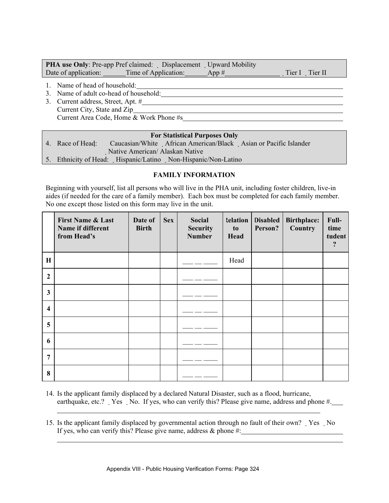| <b>PHA use Only:</b> Pre-app Pref claimed: Displacement Upward Mobility |       |                |
|-------------------------------------------------------------------------|-------|----------------|
| Date of application: ________Time of Application:                       | App # | Tier I Tier II |
| Name of head of household:                                              |       |                |

3. Name of adult co-head of household:

l

l

3. Current address, Street, Apt. # Current City, State and Zip Current Area Code, Home & Work Phone #s

### **For Statistical Purposes Only**

| 4. Race of Head: | Caucasian/White African American/Black Asian or Pacific Islander |
|------------------|------------------------------------------------------------------|
|                  | Native American/ Alaskan Native                                  |
|                  | 5. Ethnicity of Head: Hispanic/Latino Non-Hispanic/Non-Latino    |
|                  |                                                                  |

### **FAMILY INFORMATION**

Beginning with yourself, list all persons who will live in the PHA unit, including foster children, live-in aides (if needed for the care of a family member). Each box must be completed for each family member. No one except those listed on this form may live in the unit.

|                         | <b>First Name &amp; Last</b><br>Name if different<br>from Head's | Date of<br><b>Birth</b> | <b>Sex</b> | Social<br><b>Security</b><br><b>Number</b> | <b>telation</b><br>to<br>Head | <b>Disabled</b><br>Person? | <b>Birthplace:</b><br>Country | Full-<br>time<br>tudent<br>$\cdot$ |
|-------------------------|------------------------------------------------------------------|-------------------------|------------|--------------------------------------------|-------------------------------|----------------------------|-------------------------------|------------------------------------|
| $\mathbf H$             |                                                                  |                         |            |                                            | Head                          |                            |                               |                                    |
| $\overline{2}$          |                                                                  |                         |            |                                            |                               |                            |                               |                                    |
| $\mathbf{3}$            |                                                                  |                         |            |                                            |                               |                            |                               |                                    |
| $\overline{\mathbf{4}}$ |                                                                  |                         |            |                                            |                               |                            |                               |                                    |
| 5                       |                                                                  |                         |            |                                            |                               |                            |                               |                                    |
| 6                       |                                                                  |                         |            |                                            |                               |                            |                               |                                    |
| 7                       |                                                                  |                         |            |                                            |                               |                            |                               |                                    |
| 8                       |                                                                  |                         |            |                                            |                               |                            |                               |                                    |

- 14. Is the applicant family displaced by a declared Natural Disaster, such as a flood, hurricane, earthquake, etc.? Yes No. If yes, who can verify this? Please give name, address and phone #.
- 15. Is the applicant family displaced by governmental action through no fault of their own? Yes No If yes, who can verify this? Please give name, address  $\&$  phone #: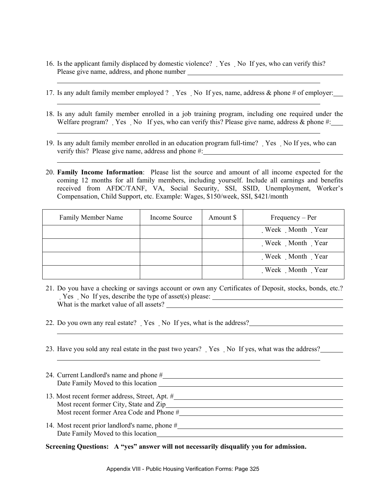16. Is the applicant family displaced by domestic violence? Yes No If yes, who can verify this? Please give name, address, and phone number

l

l

l

l

l

l

- 17. Is any adult family member employed ? Yes No If yes, name, address & phone # of employer:
- 18. Is any adult family member enrolled in a job training program, including one required under the Welfare program? Yes No If yes, who can verify this? Please give name, address  $\&$  phone #:
- 19. Is any adult family member enrolled in an education program full-time? Yes No If yes, who can verify this? Please give name, address and phone #:
- 20. **Family Income Information**: Please list the source and amount of all income expected for the coming 12 months for all family members, including yourself. Include all earnings and benefits received from AFDC/TANF, VA, Social Security, SSI, SSID, Unemployment, Worker's Compensation, Child Support, etc. Example: Wages, \$150/week, SSI, \$421/month

| <b>Family Member Name</b> | Income Source | Amount \$ | $Frequency - Per$ |
|---------------------------|---------------|-----------|-------------------|
|                           |               |           | Week Month Year   |
|                           |               |           | Week Month Year   |
|                           |               |           | Week Month Year   |
|                           |               |           | Week Month Year   |

- 21. Do you have a checking or savings account or own any Certificates of Deposit, stocks, bonds, etc.? Yes No If yes, describe the type of asset(s) please: What is the market value of all assets?
- 22. Do you own any real estate? Yes No If yes, what is the address?
- 23. Have you sold any real estate in the past two years? Yes No If yes, what was the address?

| 24. Current Landlord's name and phone #        |
|------------------------------------------------|
| Date Family Moved to this location             |
| 13. Most recent former address, Street, Apt. # |
| Most recent former City, State and Zip         |
| Most recent former Area Code and Phone #       |
| 14. Most recent prior landlord's name, phone # |
| Date Family Moved to this location             |

**Screening Questions: A "yes" answer will not necessarily disqualify you for admission.**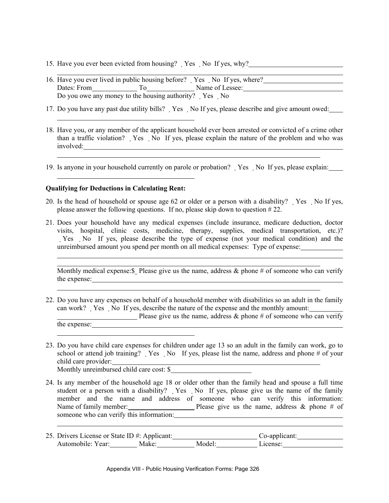- 15. Have you ever been evicted from housing? Yes No If yes, why?
- 16. Have you ever lived in public housing before? Yes No If yes, where? Dates: From To Name of Lessee: Do you owe any money to the housing authority? Yes No
- 17. Do you have any past due utility bills? Yes No If yes, please describe and give amount owed:
- 18. Have you, or any member of the applicant household ever been arrested or convicted of a crime other than a traffic violation? Yes No If yes, please explain the nature of the problem and who was involved:
- 19. Is anyone in your household currently on parole or probation? Yes No If yes, please explain:

#### **Qualifying for Deductions in Calculating Rent:**

l

l

l

l

l l

l

l

l

- 20. Is the head of household or spouse age 62 or older or a person with a disability? Yes No If yes, please answer the following questions. If no, please skip down to question # 22.
- 21. Does your household have any medical expenses (include insurance, medicare deduction, doctor visits, hospital, clinic costs, medicine, therapy, supplies, medical transportation, etc.)? Yes No If yes, please describe the type of expense (not your medical condition) and the unreimbursed amount you spend per month on all medical expenses: Type of expense:

Monthly medical expense:  $\mathcal{S}_2$  Please give us the name, address  $\&$  phone # of someone who can verify the expense: <u>expense</u>:

- 22. Do you have any expenses on behalf of a household member with disabilities so an adult in the family can work? Yes No If yes, describe the nature of the expense and the monthly amount: Please give us the name, address  $\&$  phone # of someone who can verify the expense:
- 23. Do you have child care expenses for children under age 13 so an adult in the family can work, go to school or attend job training? Yes No If yes, please list the name, address and phone  $#$  of your child care provider: Monthly unreimbursed child care cost: \$
- 24. Is any member of the household age 18 or older other than the family head and spouse a full time student or a person with a disability? Yes No If yes, please give us the name of the family member and the name and address of someone who can verify this information: Name of family member: Please give us the name, address & phone # of someone who can verify this information: <u> 1989 - Johann Barn, mars eta bainar eta baina eta baina eta baina eta baina eta baina eta baina eta baina e</u>
- 25. Drivers License or State ID #: Applicant: Co-applicant: Automobile: Year: Make: Model: License: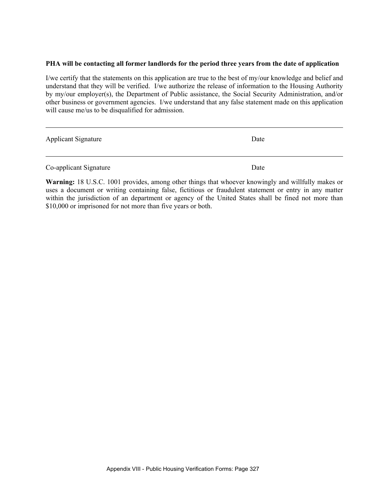#### **PHA will be contacting all former landlords for the period three years from the date of application**

I/we certify that the statements on this application are true to the best of my/our knowledge and belief and understand that they will be verified. I/we authorize the release of information to the Housing Authority by my/our employer(s), the Department of Public assistance, the Social Security Administration, and/or other business or government agencies. I/we understand that any false statement made on this application will cause me/us to be disqualified for admission.

| <b>Applicant Signature</b> | Date |
|----------------------------|------|
| Co-applicant Signature     | Date |

l

**Warning:** 18 U.S.C. 1001 provides, among other things that whoever knowingly and willfully makes or uses a document or writing containing false, fictitious or fraudulent statement or entry in any matter within the jurisdiction of an department or agency of the United States shall be fined not more than \$10,000 or imprisoned for not more than five years or both.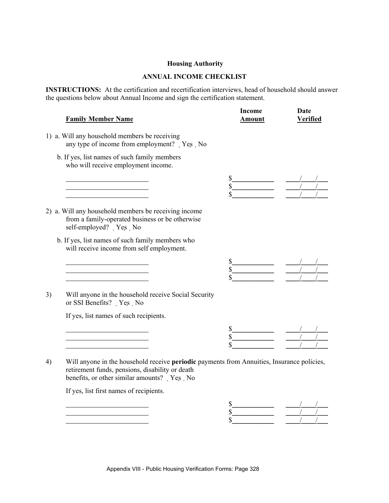### **Housing Authority**

### **ANNUAL INCOME CHECKLIST**

**INSTRUCTIONS:** At the certification and recertification interviews, head of household should answer the questions below about Annual Income and sign the certification statement.

|    | <b>Family Member Name</b>                                                                                                                                                                   | <b>Income</b><br><b>Amount</b> | <b>Date</b><br><b>Verified</b> |
|----|---------------------------------------------------------------------------------------------------------------------------------------------------------------------------------------------|--------------------------------|--------------------------------|
|    | 1) a. Will any household members be receiving<br>any type of income from employment? Yes No                                                                                                 |                                |                                |
|    | b. If yes, list names of such family members<br>who will receive employment income.                                                                                                         |                                |                                |
|    |                                                                                                                                                                                             |                                |                                |
|    | 2) a. Will any household members be receiving income<br>from a family-operated business or be otherwise<br>self-employed? Yes No                                                            |                                |                                |
|    | b. If yes, list names of such family members who<br>will receive income from self employment.                                                                                               |                                |                                |
|    |                                                                                                                                                                                             |                                |                                |
| 3) | Will anyone in the household receive Social Security<br>or SSI Benefits? Yes No                                                                                                             |                                |                                |
|    | If yes, list names of such recipients.                                                                                                                                                      |                                |                                |
|    |                                                                                                                                                                                             |                                |                                |
| 4) | Will anyone in the household receive periodic payments from Annuities, Insurance policies,<br>retirement funds, pensions, disability or death<br>benefits, or other similar amounts? Yes No |                                |                                |
|    | If yes, list first names of recipients.                                                                                                                                                     |                                |                                |
|    |                                                                                                                                                                                             |                                |                                |

 $\frac{1}{\sqrt{2}}$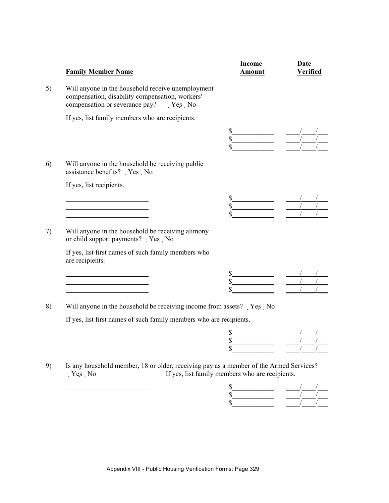| <b>Income</b><br>Amount                                               | Date<br><b>Verified</b>                                          |
|-----------------------------------------------------------------------|------------------------------------------------------------------|
|                                                                       |                                                                  |
|                                                                       |                                                                  |
| $\frac{s}{s}$ $\frac{1}{s}$                                           |                                                                  |
|                                                                       |                                                                  |
|                                                                       |                                                                  |
| $\frac{s}{s}$ $\frac{1}{1}$                                           |                                                                  |
|                                                                       |                                                                  |
|                                                                       |                                                                  |
|                                                                       |                                                                  |
|                                                                       |                                                                  |
| Will anyone in the household be receiving income from assets?  Yes No |                                                                  |
| If yes, list first names of such family members who are recipients.   |                                                                  |
|                                                                       |                                                                  |
|                                                                       |                                                                  |
|                                                                       | $\frac{\frac{1}{2}}{\frac{1}{2}}$<br>$\frac{s}{s}$ $\frac{1}{s}$ |

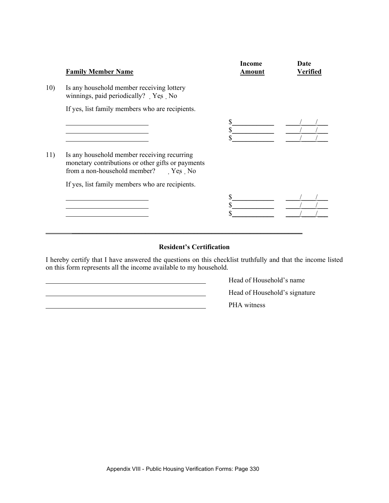|     | <b>Family Member Name</b>                                                                                                                    | Income<br><b>Amount</b> | Date<br>Verified |
|-----|----------------------------------------------------------------------------------------------------------------------------------------------|-------------------------|------------------|
| 10) | Is any household member receiving lottery<br>winnings, paid periodically? Yes No                                                             |                         |                  |
|     | If yes, list family members who are recipients.                                                                                              |                         |                  |
|     |                                                                                                                                              | \$<br>\$                |                  |
| 11) | Is any household member receiving recurring<br>monetary contributions or other gifts or payments<br>from a non-household member?<br>$Yes$ No |                         |                  |
|     | If yes, list family members who are recipients.                                                                                              | \$                      |                  |
|     |                                                                                                                                              |                         |                  |

### **Resident's Certification**

I hereby certify that I have answered the questions on this checklist truthfully and that the income listed on this form represents all the income available to my household.

 Head of Household's name Head of Household's signature PHA witness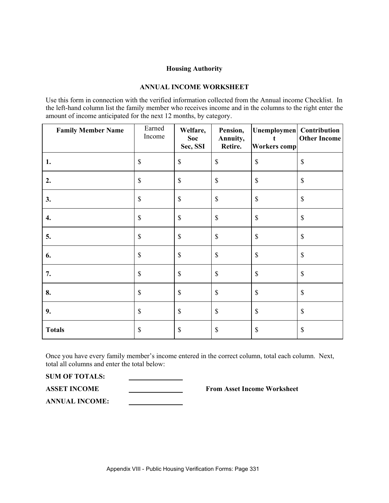#### **Housing Authority**

### **ANNUAL INCOME WORKSHEET**

Use this form in connection with the verified information collected from the Annual income Checklist. In the left-hand column list the family member who receives income and in the columns to the right enter the amount of income anticipated for the next 12 months, by category.

| <b>Family Member Name</b> | Earned<br>Income                                                      | Welfare,<br><b>Soc</b><br>Sec, SSI                                    | Pension,<br>Annuity,<br>Retire. | Unemploymen Contribution<br><b>Workers</b> comp | <b>Other Income</b>       |
|---------------------------|-----------------------------------------------------------------------|-----------------------------------------------------------------------|---------------------------------|-------------------------------------------------|---------------------------|
| 1.                        | $\mathbb{S}$                                                          | $\mathbb{S}$                                                          | \$                              | $\boldsymbol{\mathsf{S}}$                       | $\mathcal{S}$             |
| 2.                        | $\mathbb{S}% _{t}\left( t\right) \equiv\mathbb{S}_{t}\left( t\right)$ | $\mathbb{S}% _{t}\left( t\right) \equiv\mathbb{S}_{t}\left( t\right)$ | $\mathbb S$                     | \$                                              | $\boldsymbol{\mathsf{S}}$ |
| 3.                        | $\mathbb{S}$                                                          | $\mathbb{S}$                                                          | $\boldsymbol{\mathsf{S}}$       | $\mathbb S$                                     | $\mathcal{S}$             |
| 4.                        | $\mathbb{S}$                                                          | $\mathbb{S}$                                                          | \$                              | $\mathbb S$                                     | $\mathcal{S}$             |
| 5.                        | $\$$                                                                  | $\$$                                                                  | \$                              | $\boldsymbol{\mathsf{S}}$                       | $\mathcal{S}$             |
| 6.                        | $\mathbb{S}% _{t}\left( t\right) \equiv\mathbb{S}_{t}\left( t\right)$ | $\$$                                                                  | $\boldsymbol{\mathsf{S}}$       | $\mathbb{S}$                                    | $\boldsymbol{\mathsf{S}}$ |
| 7.                        | $\$$                                                                  | $\$$                                                                  | $\mathbb{S}$                    | $\mathbb{S}$                                    | $\mathcal{S}$             |
| 8.                        | $\$$                                                                  | $\$$                                                                  | \$                              | $\boldsymbol{\mathsf{S}}$                       | $\mathcal{S}$             |
| 9.                        | $\mathbb{S}$                                                          | $\mathbb{S}$                                                          | \$                              | $\mathbb{S}$                                    | $\mathcal{S}$             |
| <b>Totals</b>             | $\mathbb{S}% _{t}\left( t\right) \equiv\mathbb{S}_{t}\left( t\right)$ | \$                                                                    | \$                              | \$                                              | $\boldsymbol{\mathsf{S}}$ |

Once you have every family member's income entered in the correct column, total each column. Next, total all columns and enter the total below:

**SUM OF TOTALS:** 

**ASSET INCOME From Asset Income Worksheet** 

**ANNUAL INCOME:**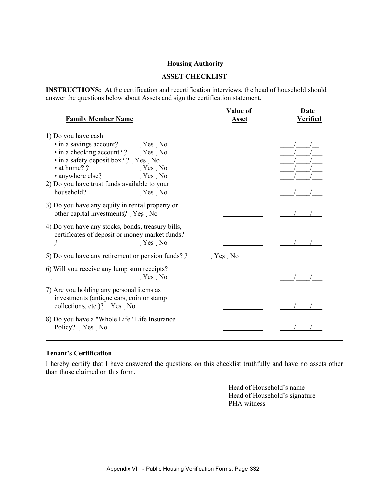#### **Housing Authority**

### **ASSET CHECKLIST**

**INSTRUCTIONS:** At the certification and recertification interviews, the head of household should answer the questions below about Assets and sign the certification statement.

| <b>Family Member Name</b>                                                                                                                                                                                                                                               | Value of<br><b>Asset</b> | Date<br><b>Verified</b> |
|-------------------------------------------------------------------------------------------------------------------------------------------------------------------------------------------------------------------------------------------------------------------------|--------------------------|-------------------------|
| 1) Do you have cash<br>• in a savings account? Yes No<br>• in a checking account? ? Yes No<br>• in a safety deposit box? ? Yes No<br>• at home? ?<br>$Yes$ No<br>• anywhere else?<br>$Yes$ No<br>2) Do you have trust funds available to your<br>household?<br>$Yes$ No |                          |                         |
| 3) Do you have any equity in rental property or<br>other capital investments? Yes No                                                                                                                                                                                    |                          |                         |
| 4) Do you have any stocks, bonds, treasury bills,<br>certificates of deposit or money market funds?<br>?<br>Yes No                                                                                                                                                      |                          |                         |
| 5) Do you have any retirement or pension funds??                                                                                                                                                                                                                        | Yes No                   |                         |
| 6) Will you receive any lump sum receipts?<br>Yes No                                                                                                                                                                                                                    |                          |                         |
| 7) Are you holding any personal items as<br>investments (antique cars, coin or stamp)<br>collections, etc.)? Yes No                                                                                                                                                     |                          |                         |
| 8) Do you have a "Whole Life" Life Insurance<br>Policy? Yes No                                                                                                                                                                                                          |                          |                         |

### **Tenant's Certification**

I hereby certify that I have answered the questions on this checklist truthfully and have no assets other than those claimed on this form.

Head of Household's name<br>Head of Household's signation and Head of Household's signation **PHA** witness

Head of Household's signature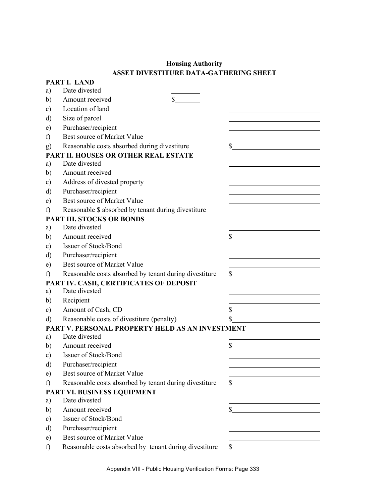## **Housing Authority ASSET DIVESTITURE DATA-GATHERING SHEET**

|               | PART I. LAND                                           |              |
|---------------|--------------------------------------------------------|--------------|
| a)            | Date divested                                          |              |
| b)            | \$<br>Amount received                                  |              |
| $\mathbf{c})$ | Location of land                                       |              |
| d)            | Size of parcel                                         |              |
| e)            | Purchaser/recipient                                    |              |
| f)            | Best source of Market Value                            |              |
| g)            | Reasonable costs absorbed during divestiture           | \$           |
|               | <b>PART II. HOUSES OR OTHER REAL ESTATE</b>            |              |
| a)            | Date divested                                          |              |
| b)            | Amount received                                        |              |
| $\mathbf{c})$ | Address of divested property                           |              |
| d)            | Purchaser/recipient                                    |              |
| e)            | Best source of Market Value                            |              |
| f)            | Reasonable \$ absorbed by tenant during divestiture    |              |
|               | <b>PART III. STOCKS OR BONDS</b>                       |              |
| a)            | Date divested                                          |              |
| b)            | Amount received                                        | \$           |
| c)            | Issuer of Stock/Bond                                   |              |
| d)            | Purchaser/recipient                                    |              |
| e)            | Best source of Market Value                            |              |
| f)            | Reasonable costs absorbed by tenant during divestiture | $\mathbb{S}$ |
|               | PART IV. CASH, CERTIFICATES OF DEPOSIT                 |              |
| a)            | Date divested                                          |              |
| b)            | Recipient                                              |              |
| $\mathbf{c})$ | Amount of Cash, CD                                     | \$           |
| $\rm d)$      | Reasonable costs of divestiture (penalty)              |              |
|               | PART V. PERSONAL PROPERTY HELD AS AN INVESTMENT        |              |
| a)            | Date divested                                          |              |
| b)            | Amount received                                        | \$           |
| $\mathbf{c})$ | Issuer of Stock/Bond                                   |              |
| d)            | Purchaser/recipient                                    |              |
| e)            | Best source of Market Value                            |              |
| f)            | Reasonable costs absorbed by tenant during divestiture | $\mathbb{S}$ |
|               | PART VI. BUSINESS EQUIPMENT                            |              |
| a)            | Date divested                                          |              |
| b)            | Amount received                                        | \$           |
| $\mathbf{c})$ | Issuer of Stock/Bond                                   |              |
| d)            | Purchaser/recipient                                    |              |
| e)            | Best source of Market Value                            |              |
| f)            | Reasonable costs absorbed by tenant during divestiture | \$           |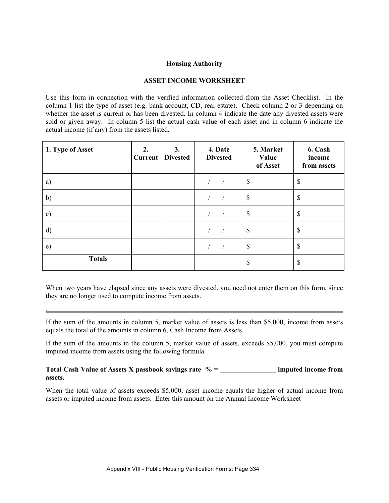#### **Housing Authority**

### **ASSET INCOME WORKSHEET**

Use this form in connection with the verified information collected from the Asset Checklist. In the column 1 list the type of asset (e.g. bank account, CD, real estate). Check column 2 or 3 depending on whether the asset is current or has been divested. In column 4 indicate the date any divested assets were sold or given away. In column 5 list the actual cash value of each asset and in column 6 indicate the actual income (if any) from the assets listed.

| 1. Type of Asset | 2.<br><b>Current</b> | 3.<br><b>Divested</b> | 4. Date<br><b>Divested</b> | 5. Market<br>Value<br>of Asset | 6. Cash<br>income<br>from assets |
|------------------|----------------------|-----------------------|----------------------------|--------------------------------|----------------------------------|
| a)               |                      |                       |                            | $\mathcal{S}$                  | \$                               |
| b)               |                      |                       |                            | $\mathcal{S}$                  | \$                               |
| $\mathbf{c})$    |                      |                       |                            | $\mathcal{S}$                  | \$                               |
| d)               |                      |                       |                            | $\mathcal{S}$                  | \$                               |
| e)               |                      |                       |                            | $\mathcal{S}$                  | \$                               |
| <b>Totals</b>    |                      |                       |                            | \$                             | \$                               |

When two years have elapsed since any assets were divested, you need not enter them on this form, since they are no longer used to compute income from assets.

If the sum of the amounts in column 5, market value of assets is less than \$5,000, income from assets equals the total of the amounts in column 6, Cash Income from Assets.

.

If the sum of the amounts in the column 5, market value of assets, exceeds \$5,000, you must compute imputed income from assets using the following formula.

#### **Total Cash Value of Assets X passbook savings rate % = \_\_\_\_\_\_\_\_\_\_\_\_\_\_\_\_ imputed income from assets.**

When the total value of assets exceeds \$5,000, asset income equals the higher of actual income from assets or imputed income from assets. Enter this amount on the Annual Income Worksheet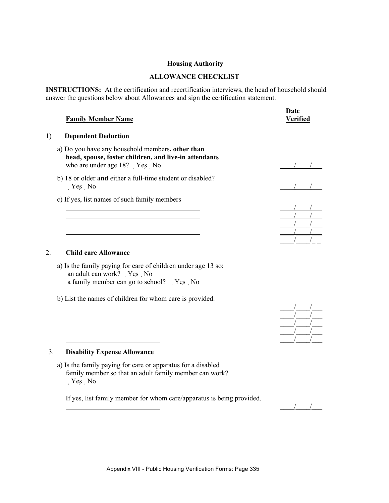#### **Housing Authority**

### **ALLOWANCE CHECKLIST**

**INSTRUCTIONS:** At the certification and recertification interviews, the head of household should answer the questions below about Allowances and sign the certification statement.

|    | <b>Family Member Name</b>                                                                                                                 | Date<br>Verified |
|----|-------------------------------------------------------------------------------------------------------------------------------------------|------------------|
| 1) | <b>Dependent Deduction</b>                                                                                                                |                  |
|    | a) Do you have any household members, other than<br>head, spouse, foster children, and live-in attendants<br>who are under age 18? Yes No |                  |
|    | b) 18 or older and either a full-time student or disabled?<br>$Yes$ No                                                                    |                  |
|    | c) If yes, list names of such family members                                                                                              |                  |
|    |                                                                                                                                           |                  |
|    |                                                                                                                                           |                  |
|    |                                                                                                                                           |                  |
|    |                                                                                                                                           |                  |
| 2. | <b>Child care Allowance</b>                                                                                                               |                  |
|    | a) Is the family paying for care of children under age 13 so:                                                                             |                  |

a family member can go to school? Yes No b) List the names of children for whom care is provided.



an adult can work? Yes No

a) Is the family paying for care or apparatus for a disabled family member so that an adult family member can work? Yes No

If yes, list family member for whom care/apparatus is being provided.



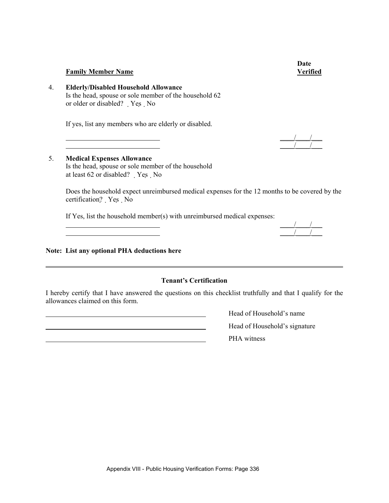**Date** 

#### **Family Member Name Community Community Community Community Community Community Community Community Community Community Community Community Community Community Community Community Community Community Community Community Co**

4. **Elderly/Disabled Household Allowance** Is the head, spouse or sole member of the household 62 or older or disabled? Yes No

If yes, list any members who are elderly or disabled.

 $\frac{1}{2}$  ,  $\frac{1}{2}$  ,  $\frac{1}{2}$  ,  $\frac{1}{2}$  ,  $\frac{1}{2}$  ,  $\frac{1}{2}$  ,  $\frac{1}{2}$  ,  $\frac{1}{2}$  ,  $\frac{1}{2}$  $\overline{\phantom{a}}$   $\overline{\phantom{a}}$   $\overline{\phantom{a}}$   $\overline{\phantom{a}}$   $\overline{\phantom{a}}$   $\overline{\phantom{a}}$   $\overline{\phantom{a}}$   $\overline{\phantom{a}}$   $\overline{\phantom{a}}$   $\overline{\phantom{a}}$   $\overline{\phantom{a}}$   $\overline{\phantom{a}}$   $\overline{\phantom{a}}$   $\overline{\phantom{a}}$   $\overline{\phantom{a}}$   $\overline{\phantom{a}}$   $\overline{\phantom{a}}$   $\overline{\phantom{a}}$   $\overline{\$ 

### 5. **Medical Expenses Allowance** Is the head, spouse or sole member of the household at least 62 or disabled? Yes No

Does the household expect unreimbursed medical expenses for the 12 months to be covered by the certification? Yes No

If Yes, list the household member(s) with unreimbursed medical expenses:

#### **Note: List any optional PHA deductions here**

 $\overline{a}$ 

# **Tenant's Certification**

I hereby certify that I have answered the questions on this checklist truthfully and that I qualify for the allowances claimed on this form.

> Head of Household's name Head of Household's signature PHA witness

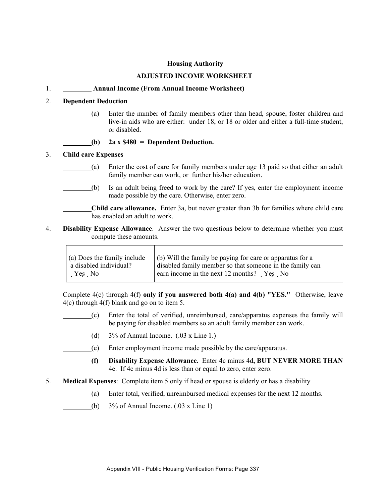#### **Housing Authority**

#### **ADJUSTED INCOME WORKSHEET**

### 1. **Annual Income (From Annual Income Worksheet)**

### 2. **Dependent Deduction**

(a) Enter the number of family members other than head, spouse, foster children and live-in aids who are either: under 18, or 18 or older and either a full-time student, or disabled.

**(b) 2a x \$480 = Dependent Deduction.**

#### 3. **Child care Expenses**

Г

- (a) Enter the cost of care for family members under age 13 paid so that either an adult family member can work, or further his/her education.
- (b) Is an adult being freed to work by the care? If yes, enter the employment income made possible by the care. Otherwise, enter zero.

 **Child care allowance.** Enter 3a, but never greater than 3b for families where child care has enabled an adult to work.

4. **Disability Expense Allowance**. Answer the two questions below to determine whether you must compute these amounts.

| $\int$ (a) Does the family include | $\vert$ (b) Will the family be paying for care or apparatus for a |
|------------------------------------|-------------------------------------------------------------------|
| a disabled individual?             | disabled family member so that someone in the family can          |
| Yes No                             | earn income in the next 12 months? Yes No                         |

Complete 4(c) through 4(f) **only if you answered both 4(a) and 4(b) "YES."** Otherwise, leave 4(c) through 4(f) blank and go on to item 5.

- (c) Enter the total of verified, unreimbursed, care/apparatus expenses the family will be paying for disabled members so an adult family member can work.
- (d)  $3\%$  of Annual Income. (.03 x Line 1.)
- (e) Enter employment income made possible by the care/apparatus.
	- **(f) Disability Expense Allowance.** Enter 4c minus 4d**, BUT NEVER MORE THAN** 4e. If 4c minus 4d is less than or equal to zero, enter zero.
- 5. **Medical Expenses**: Complete item 5 only if head or spouse is elderly or has a disability
	- (a) Enter total, verified, unreimbursed medical expenses for the next 12 months.
	- (b)  $3\%$  of Annual Income. (.03 x Line 1)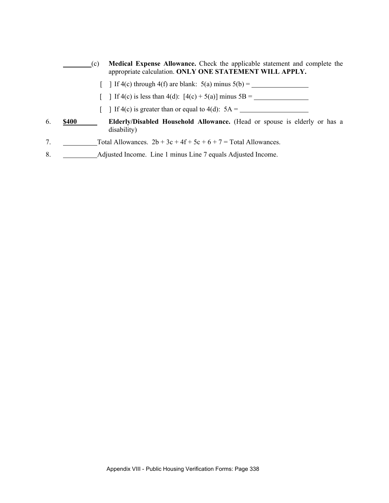|                | (c)          | Medical Expense Allowance. Check the applicable statement and complete the<br>appropriate calculation. ONLY ONE STATEMENT WILL APPLY. |
|----------------|--------------|---------------------------------------------------------------------------------------------------------------------------------------|
|                |              | $\int$ If 4(c) through 4(f) are blank: 5(a) minus 5(b) =                                                                              |
|                |              | If 4(c) is less than 4(d): $[4(c) + 5(a)]$ minus 5B =                                                                                 |
|                |              | If 4(c) is greater than or equal to 4(d): $5A =$                                                                                      |
| 6.             | <b>\$400</b> | <b>Elderly/Disabled Household Allowance.</b> (Head or spouse is elderly or has a<br>disability)                                       |
| 7 <sub>1</sub> |              | Total Allowances. $2b + 3c + 4f + 5c + 6 + 7 =$ Total Allowances.                                                                     |
| 8.             |              | Adjusted Income. Line 1 minus Line 7 equals Adjusted Income.                                                                          |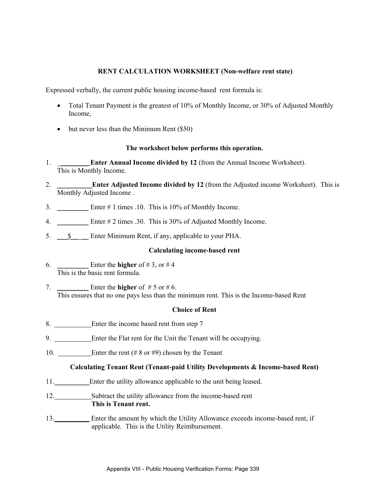### **RENT CALCULATION WORKSHEET (Non-welfare rent state)**

Expressed verbally, the current public housing income-based rent formula is:

- Total Tenant Payment is the greatest of 10% of Monthly Income, or 30% of Adjusted Monthly Income,
- but never less than the Minimum Rent (\$50)

#### **The worksheet below performs this operation.**

- 1. \_\_\_\_\_\_\_\_\_ **Enter Annual Income divided by 12** (from the Annual Income Worksheet). This is Monthly Income.
- 2. \_\_\_\_\_\_\_\_\_\_**Enter Adjusted Income divided by 12** (from the Adjusted income Worksheet). This is Monthly Adjusted Income .
- 3.  $\text{Enter} \# 1 \text{ times } .10. \text{ This is } 10\% \text{ of Monthly Income.}$
- 4. \_\_\_\_\_\_\_\_\_ Enter # 2 times .30. This is 30% of Adjusted Monthly Income.
- 5.  $\frac{\$}{\$}$  Enter Minimum Rent, if any, applicable to your PHA.

### **Calculating income-based rent**

- 6.  $\qquad \qquad$  Enter the **higher** of #3, or #4 This is the basic rent formula.
- 7.  $\_\_\_\_\_\_\_\$  Enter the **higher** of  $\# 5$  or  $\# 6$ . This ensures that no one pays less than the minimum rent. This is the Income-based Rent

#### **Choice of Rent**

- 8. Enter the income based rent from step 7
- 9. Enter the Flat rent for the Unit the Tenant will be occupying.
- 10. Enter the rent (# 8 or #9) chosen by the Tenant

### **Calculating Tenant Rent (Tenant-paid Utility Developments & Income-based Rent)**

- 11. Enter the utility allowance applicable to the unit being leased.
- 12. Subtract the utility allowance from the income-based rent **This is Tenant rent.**
- 13.\_\_\_\_\_\_\_\_\_\_ Enter the amount by which the Utility Allowance exceeds income-based rent, if applicable. This is the Utility Reimbursement.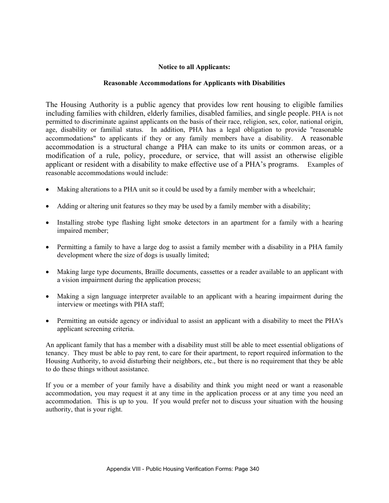### **Notice to all Applicants:**

#### **Reasonable Accommodations for Applicants with Disabilities**

The Housing Authority is a public agency that provides low rent housing to eligible families including families with children, elderly families, disabled families, and single people. PHA is not permitted to discriminate against applicants on the basis of their race, religion, sex, color, national origin, age, disability or familial status. In addition, PHA has a legal obligation to provide "reasonable accommodations" to applicants if they or any family members have a disability. A reasonable accommodation is a structural change a PHA can make to its units or common areas, or a modification of a rule, policy, procedure, or service, that will assist an otherwise eligible applicant or resident with a disability to make effective use of a PHA's programs. Examples of reasonable accommodations would include:

- Making alterations to a PHA unit so it could be used by a family member with a wheelchair;
- Adding or altering unit features so they may be used by a family member with a disability;
- Installing strobe type flashing light smoke detectors in an apartment for a family with a hearing impaired member;
- Permitting a family to have a large dog to assist a family member with a disability in a PHA family development where the size of dogs is usually limited;
- Making large type documents, Braille documents, cassettes or a reader available to an applicant with a vision impairment during the application process;
- Making a sign language interpreter available to an applicant with a hearing impairment during the interview or meetings with PHA staff;
- Permitting an outside agency or individual to assist an applicant with a disability to meet the PHA's applicant screening criteria.

An applicant family that has a member with a disability must still be able to meet essential obligations of tenancy. They must be able to pay rent, to care for their apartment, to report required information to the Housing Authority, to avoid disturbing their neighbors, etc., but there is no requirement that they be able to do these things without assistance.

If you or a member of your family have a disability and think you might need or want a reasonable accommodation, you may request it at any time in the application process or at any time you need an accommodation. This is up to you. If you would prefer not to discuss your situation with the housing authority, that is your right.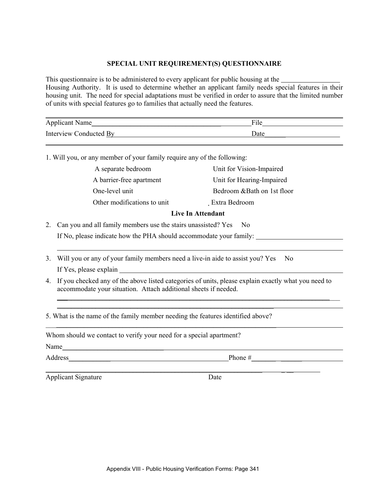### **SPECIAL UNIT REQUIREMENT(S) QUESTIONNAIRE**

This questionnaire is to be administered to every applicant for public housing at the Housing Authority. It is used to determine whether an applicant family needs special features in their housing unit. The need for special adaptations must be verified in order to assure that the limited number of units with special features go to families that actually need the features.

| Applicant Name         | File |  |
|------------------------|------|--|
| Interview Conducted By | Date |  |

1. Will you, or any member of your family require any of the following:

| A separate bedroom<br>A barrier-free apartment | Unit for Vision-Impaired<br>Unit for Hearing-Impaired |  |
|------------------------------------------------|-------------------------------------------------------|--|
| One-level unit                                 | Bedroom & Bath on 1st floor                           |  |
| Other modifications to unit                    | Extra Bedroom                                         |  |
| <b>Live In Attendant</b>                       |                                                       |  |

- 2. Can you and all family members use the stairs unassisted? Yes No If No, please indicate how the PHA should accommodate your family:
- 3. Will you or any of your family members need a live-in aide to assist you? Yes No If Yes, please explain
- 4. If you checked any of the above listed categories of units, please explain exactly what you need to accommodate your situation. Attach additional sheets if needed.

**\_\_\_**\_\_\_\_\_\_\_\_\_\_\_\_\_\_\_\_\_\_\_\_\_\_\_\_\_\_\_\_\_\_\_\_\_\_\_\_\_\_\_\_\_\_\_\_\_\_\_\_\_\_\_\_\_\_\_\_\_\_\_\_\_\_\_\_\_\_\_\_\_\_\_\_\_\_\_\_\_\_

5. What is the name of the family member needing the features identified above?  $\mathcal{L}_\text{max} = \frac{1}{2} \sum_{i=1}^n \mathcal{L}_i \mathcal{L}_i + \frac{1}{2} \sum_{i=1}^n \mathcal{L}_i \mathcal{L}_i + \frac{1}{2} \sum_{i=1}^n \mathcal{L}_i \mathcal{L}_i + \frac{1}{2} \sum_{i=1}^n \mathcal{L}_i \mathcal{L}_i + \frac{1}{2} \sum_{i=1}^n \mathcal{L}_i \mathcal{L}_i + \frac{1}{2} \sum_{i=1}^n \mathcal{L}_i \mathcal{L}_i + \frac{1}{2} \sum_{i=1}^n \mathcal{L}_$ 

 $\mathcal{L}_\text{max} = \mathcal{L}_\text{max} = \mathcal{L}_\text{max} = \mathcal{L}_\text{max} = \mathcal{L}_\text{max} = \mathcal{L}_\text{max} = \mathcal{L}_\text{max} = \mathcal{L}_\text{max} = \mathcal{L}_\text{max} = \mathcal{L}_\text{max} = \mathcal{L}_\text{max} = \mathcal{L}_\text{max} = \mathcal{L}_\text{max} = \mathcal{L}_\text{max} = \mathcal{L}_\text{max} = \mathcal{L}_\text{max} = \mathcal{L}_\text{max} = \mathcal{L}_\text{max} = \mathcal{$ 

\_\_\_\_\_\_\_\_\_\_\_\_\_\_\_\_\_\_\_\_\_\_\_\_\_\_\_\_\_\_\_\_\_\_\_\_\_\_\_\_\_\_\_\_\_\_\_\_\_\_\_\_\_\_\_\_\_\_\_\_\_\_ \_ \_\_

Whom should we contact to verify your need for a special apartment?

Name\_\_\_\_\_\_\_\_\_\_\_\_\_\_\_\_\_\_\_\_\_\_\_\_\_\_\_\_\_

Address\_\_\_\_\_\_\_\_\_\_\_\_ Phone #\_\_\_\_\_\_\_ \_\_\_\_\_\_

Applicant Signature Date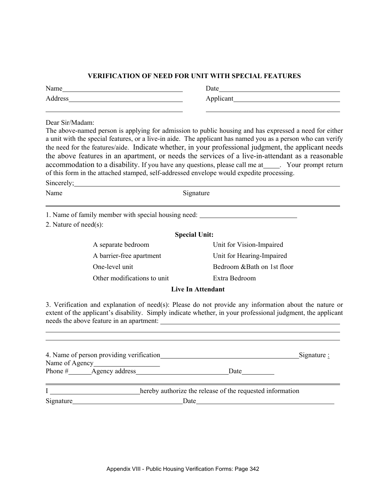#### **VERIFICATION OF NEED FOR UNIT WITH SPECIAL FEATURES**

| Name  | Date |
|-------|------|
| . ບບບ | ж.   |

Dear Sir/Madam:

l

l

The above-named person is applying for admission to public housing and has expressed a need for either a unit with the special features, or a live-in aide. The applicant has named you as a person who can verify the need for the features/aide. Indicate whether, in your professional judgment, the applicant needs the above features in an apartment, or needs the services of a live-in-attendant as a reasonable accommodation to a disability. If you have any questions, please call me at \_\_\_\_\_. Your prompt return of this form in the attached stamped, self-addressed envelope would expedite processing.

| Sincerely; $\overline{\phantom{a}}$ |                                                     |                            |  |  |
|-------------------------------------|-----------------------------------------------------|----------------------------|--|--|
| Name                                | Signature                                           |                            |  |  |
|                                     | 1. Name of family member with special housing need: |                            |  |  |
| 2. Nature of $need(s)$ :            |                                                     |                            |  |  |
|                                     | <b>Special Unit:</b>                                |                            |  |  |
|                                     | A separate bedroom                                  | Unit for Vision-Impaired   |  |  |
|                                     | A barrier-free apartment                            | Unit for Hearing-Impaired  |  |  |
|                                     | One-level unit                                      | Bedroom &Bath on 1st floor |  |  |
|                                     | Other modifications to unit                         | Extra Bedroom              |  |  |
|                                     |                                                     | <b>Live In Attendant</b>   |  |  |

3. Verification and explanation of need(s): Please do not provide any information about the nature or extent of the applicant's disability. Simply indicate whether, in your professional judgment, the applicant needs the above feature in an apartment:

| 4. Name of person providing verification |                                                           | Signature : |
|------------------------------------------|-----------------------------------------------------------|-------------|
|                                          |                                                           |             |
|                                          | <b>Date</b>                                               |             |
|                                          |                                                           |             |
|                                          | hereby authorize the release of the requested information |             |
| $Sigma_$                                 | Date                                                      |             |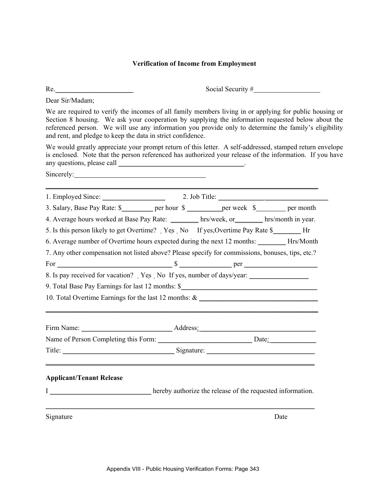# **Verification of Income from Employment**

| Re.                                                                                                                                                                                                                            | Social Security $#$                                                                                                                                                                                                                                                                                                   |
|--------------------------------------------------------------------------------------------------------------------------------------------------------------------------------------------------------------------------------|-----------------------------------------------------------------------------------------------------------------------------------------------------------------------------------------------------------------------------------------------------------------------------------------------------------------------|
| Dear Sir/Madam;                                                                                                                                                                                                                |                                                                                                                                                                                                                                                                                                                       |
| and rent, and pledge to keep the data in strict confidence.                                                                                                                                                                    | We are required to verify the incomes of all family members living in or applying for public housing or<br>Section 8 housing. We ask your cooperation by supplying the information requested below about the<br>referenced person. We will use any information you provide only to determine the family's eligibility |
|                                                                                                                                                                                                                                | We would greatly appreciate your prompt return of this letter. A self-addressed, stamped return envelope<br>is enclosed. Note that the person referenced has authorized your release of the information. If you have                                                                                                  |
| Sincerely: 2000 and 2000 and 2000 and 2000 and 2000 and 2000 and 2000 and 2000 and 2000 and 2000 and 2000 and 2000 and 2000 and 2000 and 2000 and 2000 and 2000 and 2000 and 2000 and 2000 and 2000 and 2000 and 2000 and 2000 |                                                                                                                                                                                                                                                                                                                       |
|                                                                                                                                                                                                                                | 1. Employed Since: 2. Job Title: 2. Job Title:                                                                                                                                                                                                                                                                        |
|                                                                                                                                                                                                                                | 3. Salary, Base Pay Rate: \$____________ per hour \$___________ per week \$_________ per month                                                                                                                                                                                                                        |
|                                                                                                                                                                                                                                | 4. Average hours worked at Base Pay Rate: hrs/week, or hrs/month in year.                                                                                                                                                                                                                                             |
|                                                                                                                                                                                                                                | 5. Is this person likely to get Overtime? Yes No If yes, Overtime Pay Rate \$                                                                                                                                                                                                                                         |
|                                                                                                                                                                                                                                | 6. Average number of Overtime hours expected during the next 12 months: _______ Hrs/Month                                                                                                                                                                                                                             |
|                                                                                                                                                                                                                                | 7. Any other compensation not listed above? Please specify for commissions, bonuses, tips, etc.?                                                                                                                                                                                                                      |
|                                                                                                                                                                                                                                |                                                                                                                                                                                                                                                                                                                       |
|                                                                                                                                                                                                                                | 8. Is pay received for vacation? Yes No If yes, number of days/year:                                                                                                                                                                                                                                                  |
|                                                                                                                                                                                                                                | 9. Total Base Pay Earnings for last 12 months: \$________________________________                                                                                                                                                                                                                                     |
|                                                                                                                                                                                                                                | 10. Total Overtime Earnings for the last 12 months: & ___________________________                                                                                                                                                                                                                                     |
|                                                                                                                                                                                                                                | Firm Name: <u>Name:</u> Address:                                                                                                                                                                                                                                                                                      |
|                                                                                                                                                                                                                                | Name of Person Completing this Form: Date: Date:                                                                                                                                                                                                                                                                      |
|                                                                                                                                                                                                                                |                                                                                                                                                                                                                                                                                                                       |
| <b>Applicant/Tenant Release</b>                                                                                                                                                                                                |                                                                                                                                                                                                                                                                                                                       |
|                                                                                                                                                                                                                                | I hereby authorize the release of the requested information.                                                                                                                                                                                                                                                          |
| Signature                                                                                                                                                                                                                      | Date                                                                                                                                                                                                                                                                                                                  |
|                                                                                                                                                                                                                                |                                                                                                                                                                                                                                                                                                                       |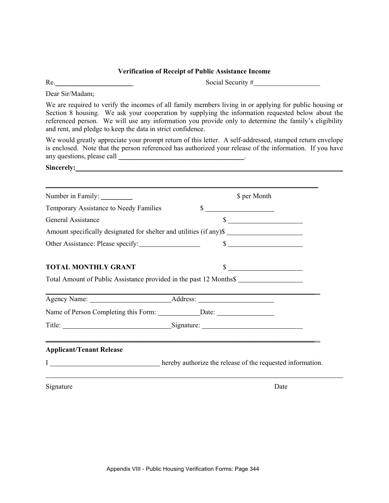### **Verification of Receipt of Public Assistance Income**

Re. Social Security #

Dear Sir/Madam;

We are required to verify the incomes of all family members living in or applying for public housing or Section 8 housing. We ask your cooperation by supplying the information requested below about the referenced person. We will use any information you provide only to determine the family's eligibility and rent, and pledge to keep the data in strict confidence.

We would greatly appreciate your prompt return of this letter. A self-addressed, stamped return envelope is enclosed. Note that the person referenced has authorized your release of the information. If you have any questions, please call  $\Box$ 

| Sincerely: <u>Contract of the Sincerely:</u> |                                                                                                                        |
|----------------------------------------------|------------------------------------------------------------------------------------------------------------------------|
|                                              |                                                                                                                        |
|                                              | \$ per Month                                                                                                           |
| Temporary Assistance to Needy Families       | $\frac{1}{2}$                                                                                                          |
| <b>General Assistance</b>                    | $\frac{\text{S}}{\text{S}}$                                                                                            |
|                                              | Amount specifically designated for shelter and utilities (if any)\$                                                    |
|                                              | $\frac{1}{2}$                                                                                                          |
| <b>TOTAL MONTHLY GRANT</b>                   | $\sim$                                                                                                                 |
|                                              | Total Amount of Public Assistance provided in the past 12 Months\$                                                     |
|                                              | <u> 1989 - Johann Stoff, deutscher Stoffen und der Stoffen und der Stoffen und der Stoffen und der Stoffen und der</u> |
|                                              |                                                                                                                        |
|                                              | Title: Signature: Signature:                                                                                           |
| <b>Applicant/Tenant Release</b>              | <u> 1989 - Johann Stoff, amerikansk politiker (d. 1989)</u>                                                            |
|                                              |                                                                                                                        |
| Signature                                    | Date                                                                                                                   |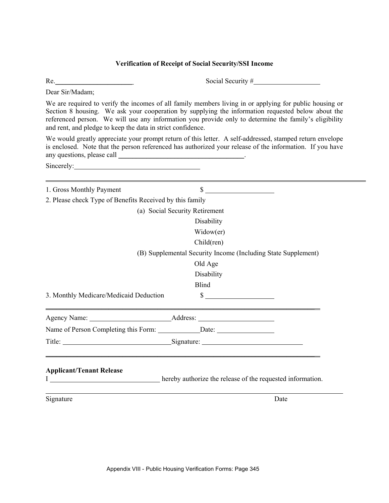### **Verification of Receipt of Social Security/SSI Income**

Re. Social Security #

Dear Sir/Madam;

We are required to verify the incomes of all family members living in or applying for public housing or Section 8 housing. We ask your cooperation by supplying the information requested below about the referenced person. We will use any information you provide only to determine the family's eligibility and rent, and pledge to keep the data in strict confidence.

We would greatly appreciate your prompt return of this letter. A self-addressed, stamped return envelope is enclosed. Note that the person referenced has authorized your release of the information. If you have any questions, please call \_\_\_\_\_\_\_\_\_\_\_\_\_\_\_\_\_\_\_\_\_\_\_\_\_\_\_\_\_\_\_\_\_\_\_\_.

Sincerely:

| 1. Gross Monthly Payment                                 | $\frac{\text{S}}{\text{S}}$                                                                                            |
|----------------------------------------------------------|------------------------------------------------------------------------------------------------------------------------|
| 2. Please check Type of Benefits Received by this family |                                                                                                                        |
|                                                          | (a) Social Security Retirement                                                                                         |
|                                                          | Disability                                                                                                             |
|                                                          | Widow(er)                                                                                                              |
|                                                          | Child(ren)                                                                                                             |
|                                                          | (B) Supplemental Security Income (Including State Supplement)                                                          |
|                                                          | Old Age                                                                                                                |
|                                                          | Disability                                                                                                             |
|                                                          | <b>Blind</b>                                                                                                           |
| 3. Monthly Medicare/Medicaid Deduction                   | $\frac{\text{S}}{\text{S}}$                                                                                            |
|                                                          |                                                                                                                        |
|                                                          |                                                                                                                        |
|                                                          | Title: Signature: Signature:                                                                                           |
| <b>Applicant/Tenant Release</b>                          | <u> 1989 - Andrea Santana, amerikana amerikana amerikana amerikana amerikana amerikana amerikana amerikana amerika</u> |
|                                                          | <b>Example 2018</b> Level 2 and 2 hereby authorize the release of the requested information.                           |
| Signature                                                | Date                                                                                                                   |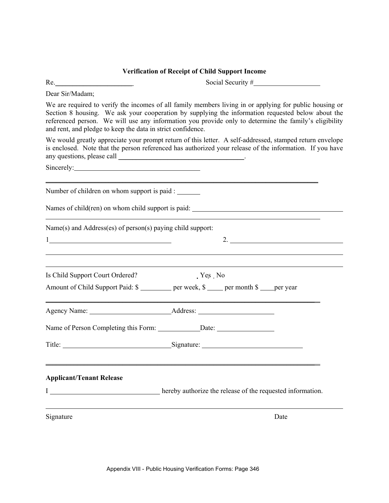#### **Verification of Receipt of Child Support Income**

Re. Social Security #

Dear Sir/Madam;

We are required to verify the incomes of all family members living in or applying for public housing or Section 8 housing. We ask your cooperation by supplying the information requested below about the referenced person. We will use any information you provide only to determine the family's eligibility and rent, and pledge to keep the data in strict confidence.

We would greatly appreciate your prompt return of this letter. A self-addressed, stamped return envelope is enclosed. Note that the person referenced has authorized your release of the information. If you have any questions, please call \_\_\_\_\_\_\_\_\_\_\_\_\_\_\_\_\_\_\_\_\_\_\_\_\_\_\_\_\_\_\_\_\_\_\_\_.

1 2.

 $\mathcal{L} = \{ \mathcal{L} = \{ \mathcal{L} = \{ \mathcal{L} = \mathcal{L} \} \mid \mathcal{L} = \{ \mathcal{L} = \{ \mathcal{L} = \mathcal{L} = \mathcal{L} = \mathcal{L} = \mathcal{L} = \mathcal{L} = \mathcal{L} = \mathcal{L} = \mathcal{L} = \mathcal{L} = \mathcal{L} = \mathcal{L} = \mathcal{L} = \mathcal{L} = \mathcal{L} = \mathcal{L} = \mathcal{L} = \mathcal{L} = \mathcal{L} = \mathcal{L} = \mathcal{L} = \mathcal{L} = \mathcal{$ 

Sincerely:

l

Number of children on whom support is paid :

Names of child(ren) on whom child support is paid:

Name(s) and Address(es) of person(s) paying child support:

Is Child Support Court Ordered? The Yes No

| Amount of Child Support Paid: \$ | per week, $\frac{1}{2}$ per month $\frac{1}{2}$ per year |  |
|----------------------------------|----------------------------------------------------------|--|

| Agency<br>Name: | Address: |  |
|-----------------|----------|--|

| Name of Person Completing this Form: | Date: |
|--------------------------------------|-------|

| Title: |            |  |
|--------|------------|--|
|        | Signature: |  |

### **Applicant/Tenant Release**

|  | hereby authorize the release of the requested information. |
|--|------------------------------------------------------------|
|  |                                                            |

 $\mathcal{L} = \{ \mathcal{L} = \{ \mathcal{L} = \mathcal{L} \} \cup \{ \mathcal{L} = \{ \mathcal{L} = \mathcal{L} \} \cup \{ \mathcal{L} = \{ \mathcal{L} = \mathcal{L} = \mathcal{L} \} \cup \{ \mathcal{L} = \{ \mathcal{L} = \mathcal{L} = \mathcal{L} = \mathcal{L} = \mathcal{L} \} \cup \{ \mathcal{L} = \{ \mathcal{L} = \mathcal{L} = \mathcal{L} = \mathcal{L} = \mathcal{L} = \mathcal{L} \} \cup \{ \mathcal{L} = \{ \mathcal{L}$ 

Signature Date by the Date of the Second Structure Date of the Date of the Date of the Date of the Date of the Date of the Date of the Date of the Date of the Date of the Date of the Date of the Date of the Date of the Dat

l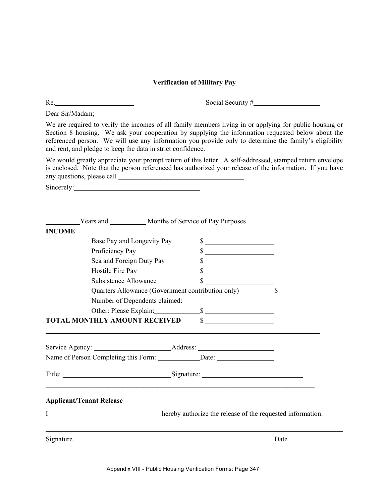# **Verification of Military Pay**

| Dear Sir/Madam;                                                                                                                                                                                                                                                                                                                                                                      |                                                                                                                       |         |
|--------------------------------------------------------------------------------------------------------------------------------------------------------------------------------------------------------------------------------------------------------------------------------------------------------------------------------------------------------------------------------------|-----------------------------------------------------------------------------------------------------------------------|---------|
| We are required to verify the incomes of all family members living in or applying for public housing or<br>Section 8 housing. We ask your cooperation by supplying the information requested below about the<br>referenced person. We will use any information you provide only to determine the family's eligibility<br>and rent, and pledge to keep the data in strict confidence. |                                                                                                                       |         |
| We would greatly appreciate your prompt return of this letter. A self-addressed, stamped return envelope<br>is enclosed. Note that the person referenced has authorized your release of the information. If you have                                                                                                                                                                 |                                                                                                                       |         |
| Sincerely:                                                                                                                                                                                                                                                                                                                                                                           |                                                                                                                       |         |
|                                                                                                                                                                                                                                                                                                                                                                                      | Years and ____________ Months of Service of Pay Purposes                                                              |         |
| <b>INCOME</b>                                                                                                                                                                                                                                                                                                                                                                        |                                                                                                                       |         |
| Base Pay and Longevity Pay                                                                                                                                                                                                                                                                                                                                                           | $\frac{\text{S}}{\text{S}}$                                                                                           |         |
| Proficiency Pay                                                                                                                                                                                                                                                                                                                                                                      | $\frac{\text{S}}{\text{S}}$                                                                                           |         |
| Sea and Foreign Duty Pay                                                                                                                                                                                                                                                                                                                                                             | $\sim$                                                                                                                |         |
| Hostile Fire Pay                                                                                                                                                                                                                                                                                                                                                                     | $\frac{\sqrt{2}}{2}$                                                                                                  |         |
| Subsistence Allowance                                                                                                                                                                                                                                                                                                                                                                | $\mathbb{S}$<br><u> 1990 - Andrea Station Books, amerikansk politik (d. 1980)</u>                                     |         |
|                                                                                                                                                                                                                                                                                                                                                                                      | Quarters Allowance (Government contribution only)                                                                     | $S_{-}$ |
| Number of Dependents claimed: ______________                                                                                                                                                                                                                                                                                                                                         |                                                                                                                       |         |
|                                                                                                                                                                                                                                                                                                                                                                                      |                                                                                                                       |         |
| TOTAL MONTHLY AMOUNT RECEIVED \$                                                                                                                                                                                                                                                                                                                                                     | <u> 1989 - Johann Stoff, deutscher Stoff, der Stoff, der Stoff, der Stoff, der Stoff, der Stoff, der Stoff, der S</u> |         |
|                                                                                                                                                                                                                                                                                                                                                                                      |                                                                                                                       |         |
|                                                                                                                                                                                                                                                                                                                                                                                      |                                                                                                                       |         |
| Title: Signature: Signature:                                                                                                                                                                                                                                                                                                                                                         |                                                                                                                       |         |
| <b>Applicant/Tenant Release</b>                                                                                                                                                                                                                                                                                                                                                      |                                                                                                                       |         |
| <u> 1980 - Johann Barn, mars eta bainar eta baina eta baina eta baina eta baina eta baina eta baina eta baina e</u>                                                                                                                                                                                                                                                                  | hereby authorize the release of the requested information.                                                            |         |
| Signature                                                                                                                                                                                                                                                                                                                                                                            |                                                                                                                       | Date    |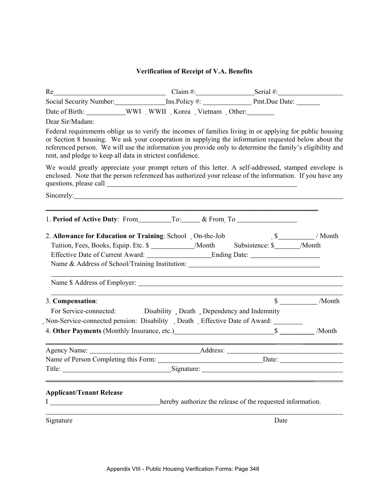# **Verification of Receipt of V.A. Benefits**

| Re Serial #: Serial #: Serial #: Serial #: Serial #: Serial #: Serial #: Serial #: Serial #: Serial #: Serial #: Serial #: Serial #: Serial #: Serial #: Serial #: Serial #: Serial #: Serial #: Serial #: Serial #: Serial #                                                                                                                                                                |                                                            |                             |
|----------------------------------------------------------------------------------------------------------------------------------------------------------------------------------------------------------------------------------------------------------------------------------------------------------------------------------------------------------------------------------------------|------------------------------------------------------------|-----------------------------|
| Social Security Number: Ins.Policy #: Pmt.Due Date: _____________________________                                                                                                                                                                                                                                                                                                            |                                                            |                             |
| Date of Birth: ____________WWI WWII Korea Vietnam Other: ________________________                                                                                                                                                                                                                                                                                                            |                                                            |                             |
| Dear Sir/Madam:                                                                                                                                                                                                                                                                                                                                                                              |                                                            |                             |
| Federal requirements oblige us to verify the incomes of families living in or applying for public housing<br>or Section 8 housing. We ask your cooperation in supplying the information requested below about the<br>referenced person. We will use the information you provide only to determine the family's eligibility and<br>rent, and pledge to keep all data in strictest confidence. |                                                            |                             |
| We would greatly appreciate your prompt return of this letter. A self-addressed, stamped envelope is<br>enclosed. Note that the person referenced has authorized your release of the information. If you have any                                                                                                                                                                            |                                                            |                             |
|                                                                                                                                                                                                                                                                                                                                                                                              |                                                            |                             |
|                                                                                                                                                                                                                                                                                                                                                                                              |                                                            |                             |
| 2. Allowance for Education or Training: School On-the-Job 5______________/ Month                                                                                                                                                                                                                                                                                                             |                                                            |                             |
| Tuition, Fees, Books, Equip. Etc. \$ ______________/Month Subsistence: \$ ______/Month                                                                                                                                                                                                                                                                                                       |                                                            |                             |
|                                                                                                                                                                                                                                                                                                                                                                                              |                                                            |                             |
| Name & Address of School/Training Institution: __________________________________                                                                                                                                                                                                                                                                                                            |                                                            |                             |
|                                                                                                                                                                                                                                                                                                                                                                                              |                                                            |                             |
| 3. Compensation:                                                                                                                                                                                                                                                                                                                                                                             |                                                            | $\frac{\sqrt{8}}{2}$ /Month |
| For Service-connected: Disability Death Dependency and Indemnity                                                                                                                                                                                                                                                                                                                             |                                                            |                             |
| Non-Service-connected pension: Disability Death Effective Date of Award:                                                                                                                                                                                                                                                                                                                     |                                                            |                             |
|                                                                                                                                                                                                                                                                                                                                                                                              |                                                            |                             |
|                                                                                                                                                                                                                                                                                                                                                                                              |                                                            |                             |
|                                                                                                                                                                                                                                                                                                                                                                                              |                                                            |                             |
| Signature:<br>Title:                                                                                                                                                                                                                                                                                                                                                                         |                                                            |                             |
| <b>Applicant/Tenant Release</b><br>Ι<br><u> 1989 - Johann Barn, mars ann an t-</u>                                                                                                                                                                                                                                                                                                           | hereby authorize the release of the requested information. |                             |
| Signature                                                                                                                                                                                                                                                                                                                                                                                    | Date                                                       |                             |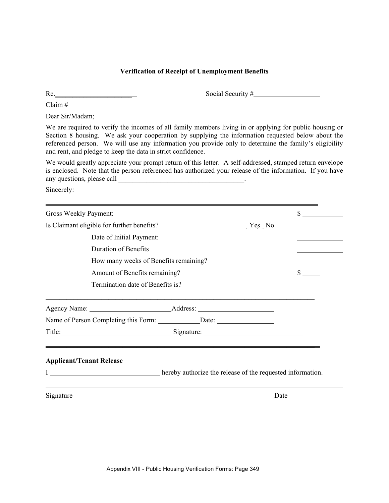### **Verification of Receipt of Unemployment Benefits**

 $Claim #$ 

Re. Construction of the Social Security #

Dear Sir/Madam;

We are required to verify the incomes of all family members living in or applying for public housing or Section 8 housing. We ask your cooperation by supplying the information requested below about the referenced person. We will use any information you provide only to determine the family's eligibility and rent, and pledge to keep the data in strict confidence.

We would greatly appreciate your prompt return of this letter. A self-addressed, stamped return envelope is enclosed. Note that the person referenced has authorized your release of the information. If you have any questions, please call \_\_\_\_\_\_\_\_\_\_\_\_\_\_\_\_\_\_\_\_\_\_\_\_\_\_\_\_\_\_\_\_\_\_\_\_.

Sincerely: 2000 and 2000 and 2000 and 2000 and 2000 and 2000 and 2000 and 2000 and 2000 and 2000 and 2000 and 2000 and 2000 and 2000 and 2000 and 2000 and 2000 and 2000 and 2000 and 2000 and 2000 and 2000 and 2000 and 2000

| Gross Weekly Payment:                                                          |          | $\mathbb{S}$  |
|--------------------------------------------------------------------------------|----------|---------------|
| Is Claimant eligible for further benefits?                                     | $Yes$ No |               |
| Date of Initial Payment:                                                       |          |               |
| <b>Duration of Benefits</b>                                                    |          |               |
| How many weeks of Benefits remaining?                                          |          |               |
| Amount of Benefits remaining?                                                  |          | $\frac{1}{2}$ |
| Termination date of Benefits is?                                               |          |               |
|                                                                                |          |               |
|                                                                                |          |               |
| Name of Person Completing this Form: Date: Date:                               |          |               |
| Title: Signature: Signature:                                                   |          |               |
|                                                                                |          |               |
| <b>Applicant/Tenant Release</b>                                                |          |               |
| <b>Example 2018</b> hereby authorize the release of the requested information. |          |               |
|                                                                                |          |               |
| Signature                                                                      | Date     |               |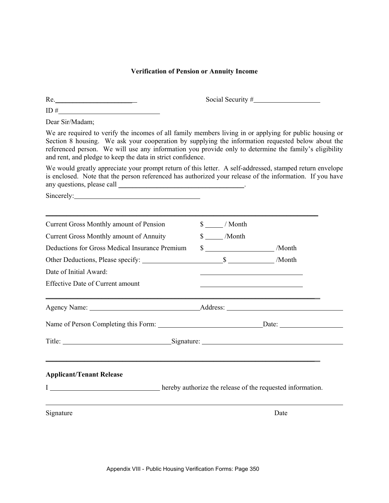#### **Verification of Pension or Annuity Income**

 $Re.$  Social Security  $#$ 

 $ID \#$ 

Dear Sir/Madam;

We are required to verify the incomes of all family members living in or applying for public housing or Section 8 housing. We ask your cooperation by supplying the information requested below about the referenced person. We will use any information you provide only to determine the family's eligibility and rent, and pledge to keep the data in strict confidence.

We would greatly appreciate your prompt return of this letter. A self-addressed, stamped return envelope is enclosed. Note that the person referenced has authorized your release of the information. If you have any questions, please call \_\_\_\_\_\_\_\_\_\_\_\_\_\_\_\_\_\_\_\_\_\_\_\_\_\_\_\_\_\_\_\_\_\_\_\_.

Sincerely:

| $\frac{\sqrt{2}}{2}$ / Month |                                                                                                               |  |  |
|------------------------------|---------------------------------------------------------------------------------------------------------------|--|--|
| \$ /Month                    |                                                                                                               |  |  |
|                              |                                                                                                               |  |  |
|                              |                                                                                                               |  |  |
|                              |                                                                                                               |  |  |
|                              |                                                                                                               |  |  |
|                              |                                                                                                               |  |  |
|                              |                                                                                                               |  |  |
|                              | Title: Signature: Signature:                                                                                  |  |  |
|                              |                                                                                                               |  |  |
|                              |                                                                                                               |  |  |
|                              | Date                                                                                                          |  |  |
|                              | $\frac{\sqrt{3}}{2}$ /Month<br><b>Example 2018</b> hereby authorize the release of the requested information. |  |  |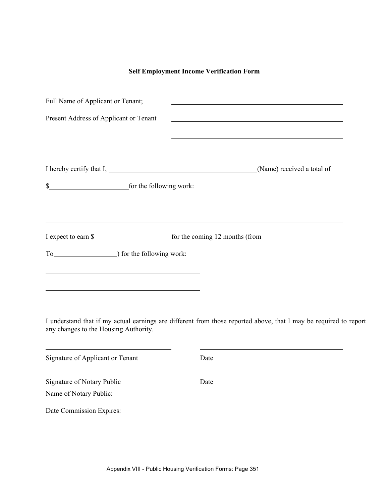### **Self Employment Income Verification Form**

| Full Name of Applicant or Tenant;      |                                              |
|----------------------------------------|----------------------------------------------|
| Present Address of Applicant or Tenant |                                              |
|                                        |                                              |
|                                        |                                              |
|                                        | (Name) received a total of                   |
|                                        |                                              |
|                                        | <u> 1989 - Jan Salaman Salaman (j. 1989)</u> |
|                                        |                                              |
|                                        | I expect to earn \$                          |
|                                        |                                              |
|                                        |                                              |
|                                        |                                              |
|                                        |                                              |

I understand that if my actual earnings are different from those reported above, that I may be required to report any changes to the Housing Authority.

| Signature of Applicant or Tenant                     | Date |  |
|------------------------------------------------------|------|--|
| Signature of Notary Public<br>Name of Notary Public: | Date |  |
| Date Commission Expires:                             |      |  |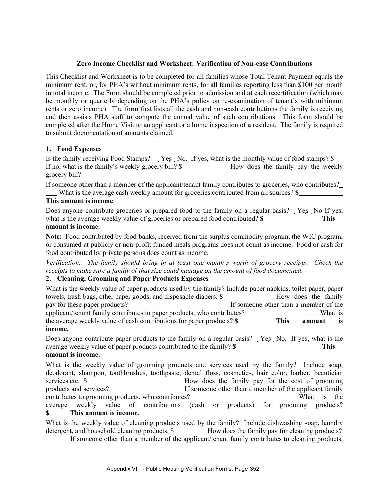### **Zero Income Checklist and Worksheet: Verification of Non-case Contributions**

This Checklist and Worksheet is to be completed for all families whose Total Tenant Payment equals the minimum rent, or, for PHA's without minimum rents, for all families reporting less than \$100 per month in total income. The Form should be completed prior to admission and at each recertification (which may be monthly or quarterly depending on the PHA's policy on re-examination of tenant's with minimum rents or zero income). The form first lists all the cash and non-cash contributions the family is receiving and then assists PHA staff to compute the annual value of such contributions. This form should be completed after the Home Visit to an applicant or a home inspection of a resident. The family is required to submit documentation of amounts claimed.

### **1. Food Expenses**

Is the family receiving Food Stamps? Yes No. If yes, what is the monthly value of food stamps?  $\$$ If no, what is the family's weekly grocery bill? \$ How does the family pay the weekly grocery bill?

If someone other than a member of the applicant/tenant family contributes to groceries, who contributes? What is the average cash weekly amount for groceries contributed from all sources? **\$** 

### **This amount is income**.

Does anyone contribute groceries or prepared food to the family on a regular basis? Yes No If yes, what is the average weekly value of groceries or prepared food contributed? **\$** This **amount is income.**

**Note:** Food contributed by food banks, received from the surplus commodity program, the WIC program, or consumed at publicly or non-profit funded meals programs does not count as income. Food or cash for food contributed by private persons does count as income.

*Verification: The family should bring in at least one month's worth of grocery receipts. Check the receipts to make sure a family of that size could manage on the amount of food documented.* 

### **2. Cleaning, Grooming and Paper Products Expenses**

| What is the weekly value of paper products used by the family? Include paper napkins, toilet paper, paper |                                       |             |                     |         |
|-----------------------------------------------------------------------------------------------------------|---------------------------------------|-------------|---------------------|---------|
| towels, trash bags, other paper goods, and disposable diapers. \$                                         |                                       |             | How does the family |         |
| pay for these paper products?                                                                             | If someone other than a member of the |             |                     |         |
| applicant/tenant family contributes to paper products, who contributes?                                   |                                       |             |                     | What is |
| the average weekly value of cash contributions for paper products? \$                                     |                                       | <b>This</b> | amount              | is      |
| income.                                                                                                   |                                       |             |                     |         |

Does anyone contribute paper products to the family on a regular basis? Yes No. If yes, what is the average weekly value of paper products contributed to the family? **\$ This** 

# **amount is income.**

What is the weekly value of grooming products and services used by the family? Include soap, deodorant, shampoo, toothbrushes, toothpaste, dental floss, cosmetics, hair color, barber, beautician services etc.  $\frac{\$}{\$}$  How does the family pay for the cost of grooming products and services?<br>If someone other than a member of the applicant family contributes to grooming products, who contributes? What is the average weekly value of contributions (cash or products) for grooming products? **\$ This amount is income.** 

What is the weekly value of cleaning products used by the family? Include dishwashing soap, laundry detergent, and household cleaning products.  $\frac{1}{2}$  How does the family pay for cleaning products? If someone other than a member of the applicant/tenant family contributes to cleaning products,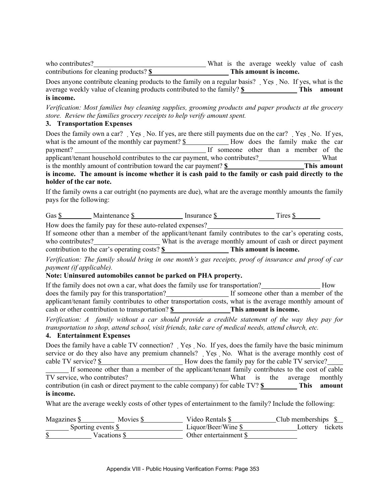| who contributes?                        |  | What is the average weekly value of cash |  |  |
|-----------------------------------------|--|------------------------------------------|--|--|
| contributions for cleaning products? \$ |  | This amount is income.                   |  |  |

Does anyone contribute cleaning products to the family on a regular basis? Yes No. If yes, what is the average weekly value of cleaning products contributed to the family? **\$ This amount is income.** 

*Verification: Most families buy cleaning supplies, grooming products and paper products at the grocery store. Review the families grocery receipts to help verify amount spent.* 

### **3. Transportation Expenses**

| Does the family own a car? Yes No. If yes, are there still payments due on the car? Yes No. If yes, |  |                                       |  |  |  |                                  |  |  |
|-----------------------------------------------------------------------------------------------------|--|---------------------------------------|--|--|--|----------------------------------|--|--|
| what is the amount of the monthly car payment? \$                                                   |  |                                       |  |  |  | How does the family make the car |  |  |
| payment?                                                                                            |  | If someone other than a member of the |  |  |  |                                  |  |  |
| applicant/tenant household contributes to the car payment, who contributes?                         |  |                                       |  |  |  | What                             |  |  |
| is the monthly amount of contribution toward the car payment? \$                                    |  |                                       |  |  |  | This amount                      |  |  |
| is income. The amount is income whether it is cash paid to the family or cash paid directly to the  |  |                                       |  |  |  |                                  |  |  |

#### **holder of the car note.**

If the family owns a car outright (no payments are due), what are the average monthly amounts the family pays for the following:

| $\overline{\phantom{0}}$<br>Gas | Maintenance |  | Insurance<br>- 412 | $\lceil$ ires |  |
|---------------------------------|-------------|--|--------------------|---------------|--|
|---------------------------------|-------------|--|--------------------|---------------|--|

How does the family pay for these auto-related expenses?

If someone other than a member of the applicant/tenant family contributes to the car's operating costs, who contributes? What is the average monthly amount of cash or direct payment contribution to the car's operating costs? **\$** This amount is income.

*Verification: The family should bring in one month's gas receipts, proof of insurance and proof of car payment (if applicable).* 

### **Note: Uninsured automobiles cannot be parked on PHA property.**

If the family does not own a car, what does the family use for transportation? How does the family pay for this transportation?<br>If someone other than a member of the applicant/tenant family contributes to other transportation costs, what is the average monthly amount of cash or other contribution to transportation? **\$ This amount is income.** 

*Verification: A family without a car should provide a credible statement of the way they pay for transportation to shop, attend school, visit friends, take care of medical needs, attend church, etc.* 

### **4. Entertainment Expenses**

Does the family have a cable TV connection? Yes No. If yes, does the family have the basic minimum service or do they also have any premium channels? Yes No. What is the average monthly cost of cable TV service?  $\$\quad$  How does the family pay for the cable TV service? If someone other than a member of the applicant/tenant family contributes to the cost of cable TV service, who contributes? What is the average monthly contribution (in cash or direct payment to the cable company) for cable TV? **\$** This amount **is income.** 

What are the average weekly costs of other types of entertainment to the family? Include the following:

| Magazines \$ | Movies \$                     | Video Rentals \$               | Club memberships $\$ |  |
|--------------|-------------------------------|--------------------------------|----------------------|--|
|              | Sporting events $\frac{S}{S}$ | Liquor/Beer/Wine $\frac{1}{2}$ | tickets<br>Lottery   |  |
|              | Vacations \$                  | Other entertainment \$         |                      |  |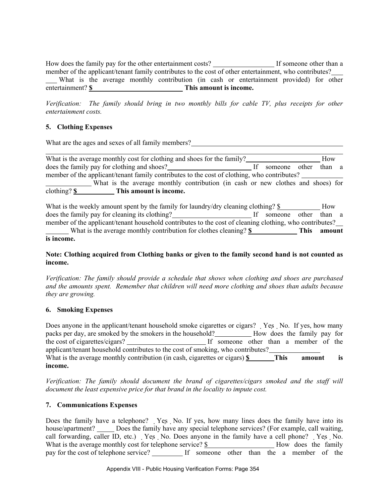How does the family pay for the other entertainment costs? If someone other than a member of the applicant/tenant family contributes to the cost of other entertainment, who contributes? What is the average monthly contribution (in cash or entertainment provided) for other entertainment? **\$** This amount is income.

*Verification: The family should bring in two monthly bills for cable TV, plus receipts for other entertainment costs.* 

# **5. Clothing Expenses**

What are the ages and sexes of all family members?<br>
<u>Examples</u> 2.1 and 2.1 and 2.1 and 2.1 and 2.1 and 2.1 and 2.1 and 2.1 and 2.1 and 2.1 and 2.1 and 2.1 and 2.1 and 2.1 and 2.1 and 2.1 and 2.1 and 2.1 and 2.1 and 2.1 and

| What is the average monthly cost for clothing and shoes for the family?                     |               | How    |  |
|---------------------------------------------------------------------------------------------|---------------|--------|--|
| does the family pay for clothing and shoes?                                                 | someone other | than a |  |
| member of the applicant/tenant family contributes to the cost of clothing, who contributes? |               |        |  |
| What is the average monthly contribution (in cash or new clothes and shoes) for             |               |        |  |
| $clothing?$ \$<br>This amount is income.                                                    |               |        |  |

What is the weekly amount spent by the family for laundry/dry cleaning clothing? \$ How does the family pay for cleaning its clothing?<br>If someone other than a member of the applicant/tenant household contributes to the cost of cleaning clothing, who contributes? What is the average monthly contribution for clothes cleaning? **\$** This amount

**is income.** 

# **Note: Clothing acquired from Clothing banks or given to the family second hand is not counted as income.**

*Verification: The family should provide a schedule that shows when clothing and shoes are purchased and the amounts spent. Remember that children will need more clothing and shoes than adults because they are growing.* 

# **6. Smoking Expenses**

Does anyone in the applicant/tenant household smoke cigarettes or cigars? Yes No. If yes, how many packs per day, are smoked by the smokers in the household? How does the family pay for the cost of cigarettes/cigars? If someone other than a member of the applicant/tenant household contributes to the cost of smoking, who contributes? What is the average monthly contribution (in cash, cigarettes or cigars) **\$** This amount is **income.** 

*Verification: The family should document the brand of cigarettes/cigars smoked and the staff will document the least expensive price for that brand in the locality to impute cost.* 

# **7. Communications Expenses**

Does the family have a telephone? Yes No. If yes, how many lines does the family have into its house/apartment? Does the family have any special telephone services? (For example, call waiting, call forwarding, caller ID, etc.) Yes No. Does anyone in the family have a cell phone? Yes No. What is the average monthly cost for telephone service?  $\frac{1}{2}$  How does the family pay for the cost of telephone service? If someone other than the a member of the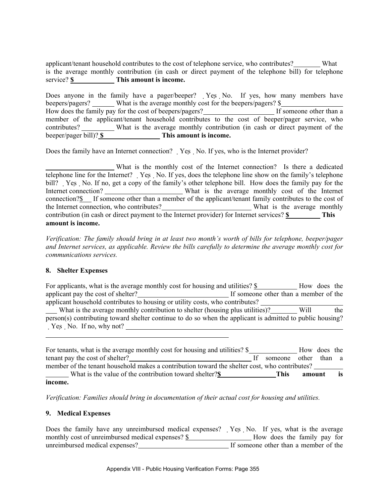applicant/tenant household contributes to the cost of telephone service, who contributes? What is the average monthly contribution (in cash or direct payment of the telephone bill) for telephone service? **\$** This amount is income.

Does anyone in the family have a pager/beeper? Yes No. If yes, how many members have beepers/pagers? What is the average monthly cost for the beepers/pagers? \$ How does the family pay for the cost of beepers/pagers?<br>If someone other than a member of the applicant/tenant household contributes to the cost of beeper/pager service, who contributes? What is the average monthly contribution (in cash or direct payment of the beeper/pager bill)? **\$ This amount is income.** 

Does the family have an Internet connection? Yes No. If yes, who is the Internet provider?

 What is the monthly cost of the Internet connection? Is there a dedicated telephone line for the Internet? Yes No. If yes, does the telephone line show on the family's telephone bill? Yes No. If no, get a copy of the family's other telephone bill. How does the family pay for the Internet connection? What is the average monthly cost of the Internet connection?<sup>§</sup> If someone other than a member of the applicant/tenant family contributes to the cost of the Internet connection, who contributes? What is the average monthly contribution (in cash or direct payment to the Internet provider) for Internet services? **\$ This amount is income.** 

*Verification: The family should bring in at least two month's worth of bills for telephone, beeper/pager and Internet services, as applicable. Review the bills carefully to determine the average monthly cost for communications services.* 

# **8. Shelter Expenses**

l

For applicants, what is the average monthly cost for housing and utilities? \$ How does the applicant pay the cost of shelter? If someone other than a member of the applicant household contributes to housing or utility costs, who contributes? What is the average monthly contribution to shelter (housing plus utilities)? Will the person(s) contributing toward shelter continue to do so when the applicant is admitted to public housing?  $Yes$  No. If no, why not?

For tenants, what is the average monthly cost for housing and utilities? \$ How does the tenant pay the cost of shelter? If someone other than a member of the tenant household makes a contribution toward the shelter cost, who contributes? What is the value of the contribution toward shelter?**\$** This amount is **income.** 

*Verification: Families should bring in documentation of their actual cost for housing and utilities.*

# **9. Medical Expenses**

Does the family have any unreimbursed medical expenses? Yes No. If yes, what is the average monthly cost of unreimbursed medical expenses?  $\frac{\$}{\$}$  How does the family pay for unreimbursed medical expenses? If someone other than a member of the unreimbursed medical expenses?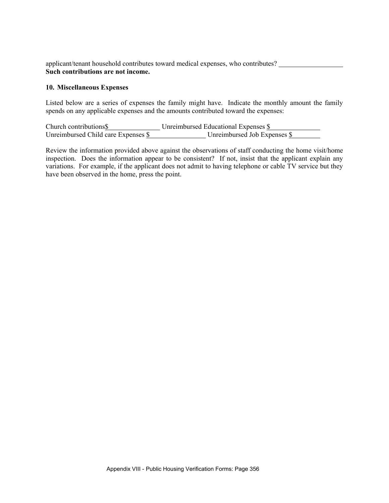applicant/tenant household contributes toward medical expenses, who contributes? **Such contributions are not income.** 

### **10. Miscellaneous Expenses**

Listed below are a series of expenses the family might have. Indicate the monthly amount the family spends on any applicable expenses and the amounts contributed toward the expenses:

Church contributions **\$** Unreimbursed Educational Expenses **\$** Unreimbursed Child care Expenses  $\frac{S}{S}$  Unreimbursed Job Expenses  $\frac{S}{S}$ 

Review the information provided above against the observations of staff conducting the home visit/home inspection. Does the information appear to be consistent? If not, insist that the applicant explain any variations. For example, if the applicant does not admit to having telephone or cable TV service but they have been observed in the home, press the point.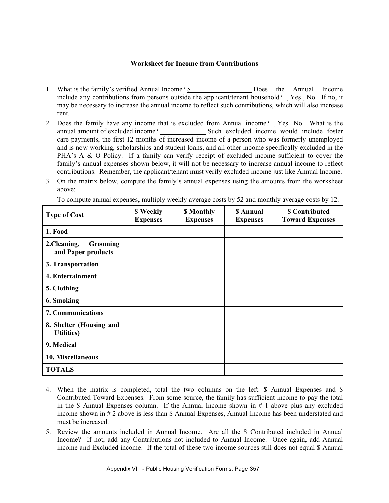# **Worksheet for Income from Contributions**

- 1. What is the family's verified Annual Income? \$ Does the Annual Income include any contributions from persons outside the applicant/tenant household? Yes No. If no, it may be necessary to increase the annual income to reflect such contributions, which will also increase rent.
- 2. Does the family have any income that is excluded from Annual income? Yes No. What is the annual amount of excluded income? Such excluded income would include foster care payments, the first 12 months of increased income of a person who was formerly unemployed and is now working, scholarships and student loans, and all other income specifically excluded in the PHA's A & O Policy. If a family can verify receipt of excluded income sufficient to cover the family's annual expenses shown below, it will not be necessary to increase annual income to reflect contributions. Remember, the applicant/tenant must verify excluded income just like Annual Income.
- 3. On the matrix below, compute the family's annual expenses using the amounts from the worksheet above:

| <b>Type of Cost</b>                                  | \$ Weekly<br><b>Expenses</b> | \$ Monthly<br><b>Expenses</b> | <b>S</b> Annual<br><b>Expenses</b> | <b>\$</b> Contributed<br><b>Toward Expenses</b> |
|------------------------------------------------------|------------------------------|-------------------------------|------------------------------------|-------------------------------------------------|
| 1. Food                                              |                              |                               |                                    |                                                 |
| 2.Cleaning,<br><b>Grooming</b><br>and Paper products |                              |                               |                                    |                                                 |
| 3. Transportation                                    |                              |                               |                                    |                                                 |
| 4. Entertainment                                     |                              |                               |                                    |                                                 |
| 5. Clothing                                          |                              |                               |                                    |                                                 |
| 6. Smoking                                           |                              |                               |                                    |                                                 |
| 7. Communications                                    |                              |                               |                                    |                                                 |
| 8. Shelter (Housing and<br><b>Utilities</b> )        |                              |                               |                                    |                                                 |
| 9. Medical                                           |                              |                               |                                    |                                                 |
| 10. Miscellaneous                                    |                              |                               |                                    |                                                 |
| <b>TOTALS</b>                                        |                              |                               |                                    |                                                 |

To compute annual expenses, multiply weekly average costs by 52 and monthly average costs by 12.

- 4. When the matrix is completed, total the two columns on the left: \$ Annual Expenses and \$ Contributed Toward Expenses. From some source, the family has sufficient income to pay the total in the \$ Annual Expenses column. If the Annual Income shown in  $# 1$  above plus any excluded income shown in # 2 above is less than \$ Annual Expenses, Annual Income has been understated and must be increased.
- 5. Review the amounts included in Annual Income. Are all the \$ Contributed included in Annual Income? If not, add any Contributions not included to Annual Income. Once again, add Annual income and Excluded income. If the total of these two income sources still does not equal \$ Annual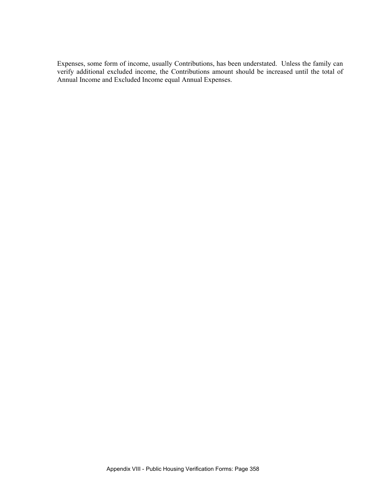Expenses, some form of income, usually Contributions, has been understated. Unless the family can verify additional excluded income, the Contributions amount should be increased until the total of Annual Income and Excluded Income equal Annual Expenses.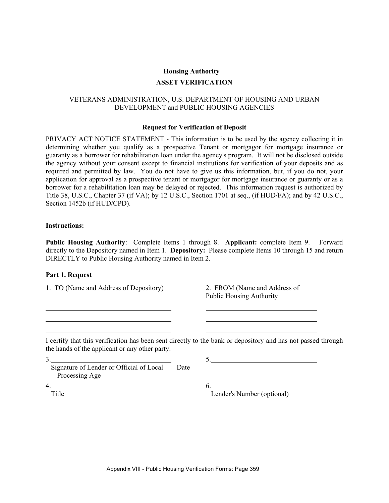### **ASSET VERIFICATION**

## VETERANS ADMINISTRATION, U.S. DEPARTMENT OF HOUSING AND URBAN DEVELOPMENT and PUBLIC HOUSING AGENCIES

#### **Request for Verification of Deposit**

PRIVACY ACT NOTICE STATEMENT - This information is to be used by the agency collecting it in determining whether you qualify as a prospective Tenant or mortgagor for mortgage insurance or guaranty as a borrower for rehabilitation loan under the agency's program. It will not be disclosed outside the agency without your consent except to financial institutions for verification of your deposits and as required and permitted by law. You do not have to give us this information, but, if you do not, your application for approval as a prospective tenant or mortgagor for mortgage insurance or guaranty or as a borrower for a rehabilitation loan may be delayed or rejected. This information request is authorized by Title 38, U.S.C., Chapter 37 (if VA); by 12 U.S.C., Section 1701 at seq., (if HUD/FA); and by 42 U.S.C., Section 1452b (if HUD/CPD).

#### **Instructions:**

**Public Housing Authority**: Complete Items 1 through 8. **Applicant:** complete Item 9. Forward directly to the Depository named in Item 1. **Depository:** Please complete Items 10 through 15 and return DIRECTLY to Public Housing Authority named in Item 2.

#### **Part 1. Request**

1. TO (Name and Address of Depository) 2. FROM (Name and Address of

Public Housing Authority

I certify that this verification has been sent directly to the bank or depository and has not passed through the hands of the applicant or any other party.

 $3.$  5. Signature of Lender or Official of Local Date Processing Age

 $4.$  6.

 $\frac{6}{\text{Lender's Number (optional)}}$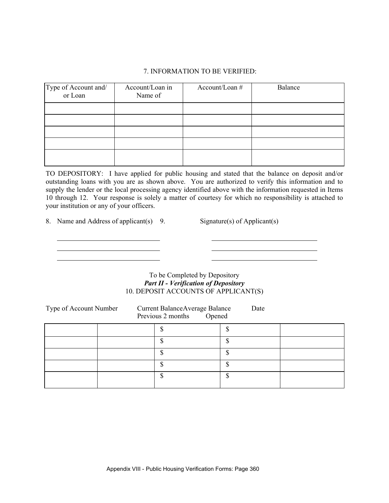## 7. INFORMATION TO BE VERIFIED:

| Type of Account and/<br>or Loan | Account/Loan in<br>Name of | Account/Loan # | Balance |
|---------------------------------|----------------------------|----------------|---------|
|                                 |                            |                |         |
|                                 |                            |                |         |
|                                 |                            |                |         |
|                                 |                            |                |         |
|                                 |                            |                |         |

TO DEPOSITORY: I have applied for public housing and stated that the balance on deposit and/or outstanding loans with you are as shown above. You are authorized to verify this information and to supply the lender or the local processing agency identified above with the information requested in Items 10 through 12. Your response is solely a matter of courtesy for which no responsibility is attached to your institution or any of your officers.

8. Name and Address of applicant(s) 9. Signature(s) of Applicant(s)

## To be Completed by Depository *Part II - Verification of Depository*  10. DEPOSIT ACCOUNTS OF APPLICANT(S)

| Type of Account Number | Current Balance Average Balance<br>Opened<br>Previous 2 months | Date |  |
|------------------------|----------------------------------------------------------------|------|--|
|                        |                                                                |      |  |
|                        | ጦ                                                              | ¢    |  |
|                        |                                                                |      |  |
|                        |                                                                | ¢    |  |
|                        | ጣ                                                              | ጦ    |  |
|                        |                                                                |      |  |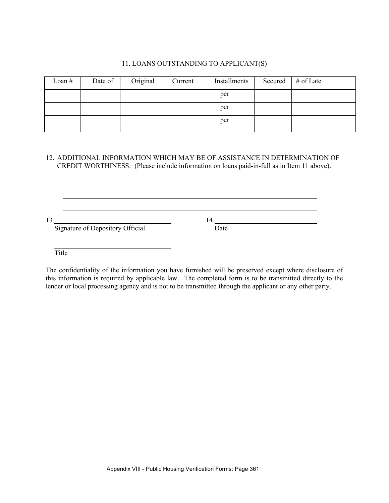# 11. LOANS OUTSTANDING TO APPLICANT(S)

| Loan $#$ | Date of | Original | Current | Installments | Secured | # of Late |
|----------|---------|----------|---------|--------------|---------|-----------|
|          |         |          |         | per          |         |           |
|          |         |          |         | per          |         |           |
|          |         |          |         | per          |         |           |

# 12. ADDITIONAL INFORMATION WHICH MAY BE OF ASSISTANCE IN DETERMINATION OF CREDIT WORTHINESS: (Please include information on loans paid-in-full as in Item 11 above).

<u> 1989 - Andrea Station Barbara, amerikan personal (h. 1989).</u>

13. 14.

Signature of Depository Official Date

**Title** 

The confidentiality of the information you have furnished will be preserved except where disclosure of this information is required by applicable law. The completed form is to be transmitted directly to the lender or local processing agency and is not to be transmitted through the applicant or any other party.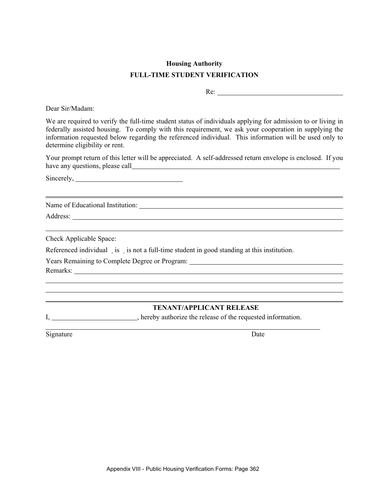# **Housing Authority FULL-TIME STUDENT VERIFICATION**

Re:

Dear Sir/Madam:

We are required to verify the full-time student status of individuals applying for admission to or living in federally assisted housing. To comply with this requirement, we ask your cooperation in supplying the information requested below regarding the referenced individual. This information will be used only to determine eligibility or rent.

Your prompt return of this letter will be appreciated. A self-addressed return envelope is enclosed. If you have any questions, please call

Sincerely,

Name of Educational Institution:

Address:

Check Applicable Space:

Referenced individual is is not a full-time student in good standing at this institution.

Years Remaining to Complete Degree or Program:

Remarks:

 $\overline{a}$  $\overline{a}$ 

 $\overline{a}$ 

# **TENANT/APPLICANT RELEASE**

I, \_\_\_\_\_\_\_\_\_\_\_\_\_\_\_\_\_\_\_\_\_\_, hereby authorize the release of the requested information.

Signature Date

 $\overline{a}$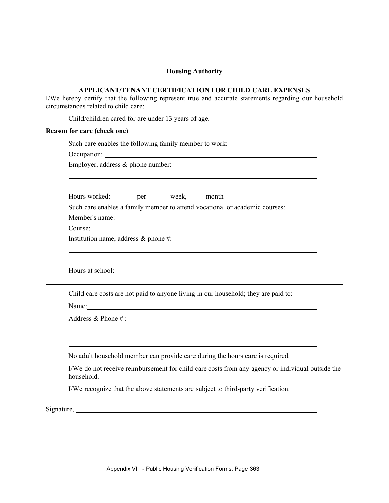#### **APPLICANT/TENANT CERTIFICATION FOR CHILD CARE EXPENSES**

I/We hereby certify that the following represent true and accurate statements regarding our household circumstances related to child care:

Child/children cared for are under 13 years of age.

#### **Reason for care (check one)**

Such care enables the following family member to work:

Occupation:

Employer, address & phone number:

Hours worked: per week, month

Such care enables a family member to attend vocational or academic courses:

Member's name:

Course:

Institution name, address & phone #:

Hours at school:

Child care costs are not paid to anyone living in our household; they are paid to:

Name:

Address & Phone # :

No adult household member can provide care during the hours care is required.

 I/We do not receive reimbursement for child care costs from any agency or individual outside the household.

I/We recognize that the above statements are subject to third-party verification.

Signature, <u>example and the set of the set of the set of the set of the set of the set of the set of the set of the set of the set of the set of the set of the set of the set of the set of the set of the set of the set of </u>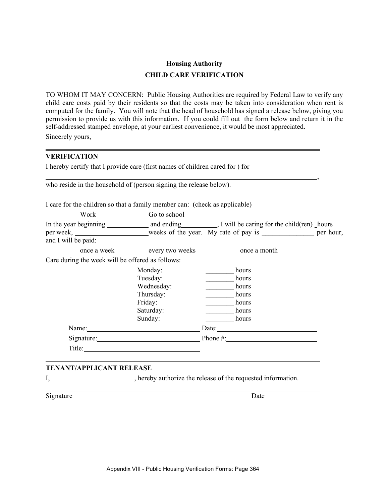# **Housing Authority CHILD CARE VERIFICATION**

TO WHOM IT MAY CONCERN: Public Housing Authorities are required by Federal Law to verify any child care costs paid by their residents so that the costs may be taken into consideration when rent is computed for the family. You will note that the head of household has signed a release below, giving you permission to provide us with this information. If you could fill out the form below and return it in the self-addressed stamped envelope, at your earliest convenience, it would be most appreciated. Sincerely yours,

# **VERIFICATION**

 $\overline{a}$ 

|                                                                            |                             | I hereby certify that I provide care (first names of children cared for ) for |  |
|----------------------------------------------------------------------------|-----------------------------|-------------------------------------------------------------------------------|--|
| who reside in the household of (person signing the release below).         |                             |                                                                               |  |
| I care for the children so that a family member can: (check as applicable) |                             |                                                                               |  |
| Work                                                                       | Go to school                |                                                                               |  |
|                                                                            |                             |                                                                               |  |
|                                                                            |                             |                                                                               |  |
| and I will be paid:                                                        |                             |                                                                               |  |
|                                                                            | once a week every two weeks | once a month                                                                  |  |
| Care during the week will be offered as follows:                           |                             |                                                                               |  |
|                                                                            | Monday:                     | hours                                                                         |  |
|                                                                            | Tuesday:                    | hours                                                                         |  |
|                                                                            | Wednesday:                  | hours                                                                         |  |
|                                                                            | Thursday:                   | hours                                                                         |  |
|                                                                            | Friday:                     | hours                                                                         |  |
|                                                                            | Saturday:                   | hours                                                                         |  |
|                                                                            | Sunday:                     | hours                                                                         |  |
|                                                                            |                             | Date:                                                                         |  |
|                                                                            |                             | Signature: Phone #: Phone #:                                                  |  |
|                                                                            |                             |                                                                               |  |
|                                                                            |                             |                                                                               |  |

# **TENANT/APPLICANT RELEASE**

l

I, hereby authorize the release of the requested information.

Signature Date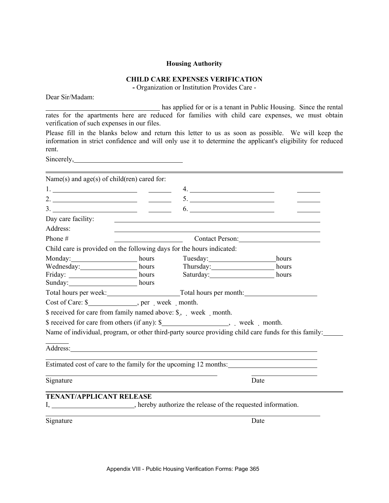# **CHILD CARE EXPENSES VERIFICATION**

**-** Organization or Institution Provides Care -

Dear Sir/Madam:

 has applied for or is a tenant in Public Housing. Since the rental rates for the apartments here are reduced for families with child care expenses, we must obtain verification of such expenses in our files.

Please fill in the blanks below and return this letter to us as soon as possible. We will keep the information in strict confidence and will only use it to determine the applicant's eligibility for reduced rent.

Sincerely, 2008.

| Name(s) and $age(s)$ of child(ren) cared for:                                                                                                                                                                                  |                 |                                                                                                      |
|--------------------------------------------------------------------------------------------------------------------------------------------------------------------------------------------------------------------------------|-----------------|------------------------------------------------------------------------------------------------------|
|                                                                                                                                                                                                                                |                 |                                                                                                      |
| 2. $\overline{\phantom{a} \phantom{a} \phantom{a}}$                                                                                                                                                                            |                 |                                                                                                      |
|                                                                                                                                                                                                                                |                 |                                                                                                      |
| Day care facility:                                                                                                                                                                                                             |                 |                                                                                                      |
| Address:                                                                                                                                                                                                                       |                 |                                                                                                      |
| Phone $#$                                                                                                                                                                                                                      |                 |                                                                                                      |
| Child care is provided on the following days for the hours indicated:                                                                                                                                                          |                 |                                                                                                      |
| Monday: hours hours                                                                                                                                                                                                            | Tuesday: hours  |                                                                                                      |
| Wednesday: hours hours hours hours hours hours                                                                                                                                                                                 |                 |                                                                                                      |
| Friday: hours                                                                                                                                                                                                                  | Saturday: hours |                                                                                                      |
| Sunday: hours                                                                                                                                                                                                                  |                 |                                                                                                      |
|                                                                                                                                                                                                                                |                 | Total hours per week: Total hours per month:                                                         |
|                                                                                                                                                                                                                                |                 |                                                                                                      |
| \$ received for care from family named above: \$, week month.                                                                                                                                                                  |                 |                                                                                                      |
| \$ received for care from others (if any): \$_______________________, week _ month.                                                                                                                                            |                 |                                                                                                      |
|                                                                                                                                                                                                                                |                 | Name of individual, program, or other third-party source providing child care funds for this family: |
| Address: Andreas Address: Address: Address: Address: Address: Address: Address: Address: Address: Address: Address: Address: Address: Address: Address: Address: Address: Address: Address: Address: Address: Address: Address |                 |                                                                                                      |
|                                                                                                                                                                                                                                |                 | Estimated cost of care to the family for the upcoming 12 months:                                     |
| Signature                                                                                                                                                                                                                      |                 | Date                                                                                                 |
| <b>TENANT/APPLICANT RELEASE</b>                                                                                                                                                                                                |                 |                                                                                                      |
| I, _________________________, hereby authorize the release of the requested information.                                                                                                                                       |                 |                                                                                                      |
| Signature                                                                                                                                                                                                                      |                 | Date                                                                                                 |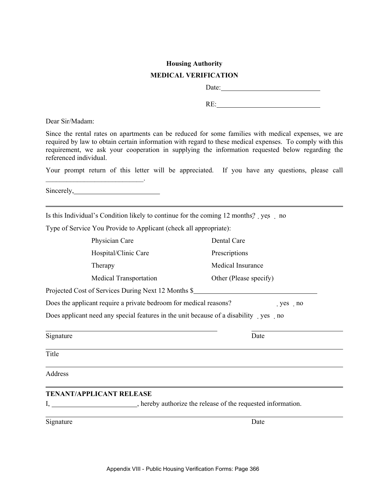# **Housing Authority MEDICAL VERIFICATION**

Date:

RE:

Dear Sir/Madam:

Since the rental rates on apartments can be reduced for some families with medical expenses, we are required by law to obtain certain information with regard to these medical expenses. To comply with this requirement, we ask your cooperation in supplying the information requested below regarding the referenced individual.

Your prompt return of this letter will be appreciated. If you have any questions, please call

Sincerely, 2008.

 $\overline{\phantom{a}}$  ,  $\overline{\phantom{a}}$  ,  $\overline{\phantom{a}}$  ,  $\overline{\phantom{a}}$  ,  $\overline{\phantom{a}}$  ,  $\overline{\phantom{a}}$  ,  $\overline{\phantom{a}}$  ,  $\overline{\phantom{a}}$  ,  $\overline{\phantom{a}}$  ,  $\overline{\phantom{a}}$  ,  $\overline{\phantom{a}}$  ,  $\overline{\phantom{a}}$  ,  $\overline{\phantom{a}}$  ,  $\overline{\phantom{a}}$  ,  $\overline{\phantom{a}}$  ,  $\overline{\phantom{a}}$ 

Is this Individual's Condition likely to continue for the coming  $12$  months? yes no

Type of Service You Provide to Applicant (check all appropriate):

|                | Physician Care                                                                            | Dental Care            |          |
|----------------|-------------------------------------------------------------------------------------------|------------------------|----------|
|                | Hospital/Clinic Care                                                                      | Prescriptions          |          |
|                | Therapy                                                                                   | Medical Insurance      |          |
|                | <b>Medical Transportation</b>                                                             | Other (Please specify) |          |
|                | Projected Cost of Services During Next 12 Months \$                                       |                        |          |
|                | Does the applicant require a private bedroom for medical reasons?                         |                        | $yes$ no |
|                | Does applicant need any special features in the unit because of a disability yes no       |                        |          |
| Signature      |                                                                                           | Date                   |          |
| Title          |                                                                                           |                        |          |
| <b>Address</b> |                                                                                           |                        |          |
|                | <b>TENANT/APPLICANT RELEASE</b>                                                           |                        |          |
|                | I, __________________________, hereby authorize the release of the requested information. |                        |          |
| Signature      |                                                                                           | Date                   |          |
|                |                                                                                           |                        |          |
|                |                                                                                           |                        |          |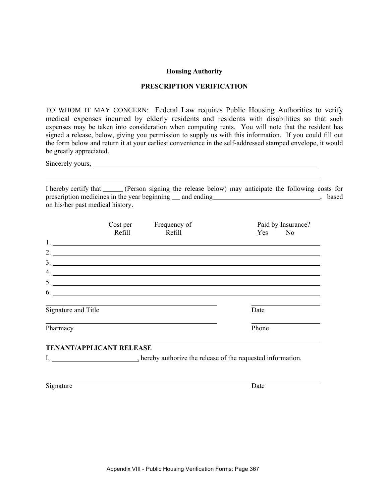## **PRESCRIPTION VERIFICATION**

TO WHOM IT MAY CONCERN: Federal Law requires Public Housing Authorities to verify medical expenses incurred by elderly residents and residents with disabilities so that such expenses may be taken into consideration when computing rents. You will note that the resident has signed a release, below, giving you permission to supply us with this information. If you could fill out the form below and return it at your earliest convenience in the self-addressed stamped envelope, it would be greatly appreciated.

Sincerely yours,

I hereby certify that \_\_\_\_\_\_ (Person signing the release below) may anticipate the following costs for prescription medicines in the year beginning and ending state of the state of the state of the state of the state of the state of the state of the state of the state of the state of the state of the state of the state of t on his/her past medical history.

|                                                                           | Cost per<br>Refill                                        | Frequency of<br>Refill | Paid by Insurance?<br>$Yes$ No |
|---------------------------------------------------------------------------|-----------------------------------------------------------|------------------------|--------------------------------|
|                                                                           | <u> 1989 - John Stone, amerikansk politiker (d. 1989)</u> |                        |                                |
|                                                                           |                                                           | 2.                     |                                |
| $\begin{array}{c}\n3. \quad \textcolor{blue}{\textbf{2.22}}\n\end{array}$ |                                                           |                        |                                |
| 4.                                                                        |                                                           |                        |                                |
|                                                                           |                                                           |                        |                                |
|                                                                           |                                                           | $\overline{6}$ .       |                                |
| Signature and Title                                                       |                                                           |                        | Date                           |
| Pharmacy                                                                  |                                                           |                        | Phone                          |

# **TENANT/APPLICANT RELEASE**

I, hereby authorize the release of the requested information.

Signature Date

l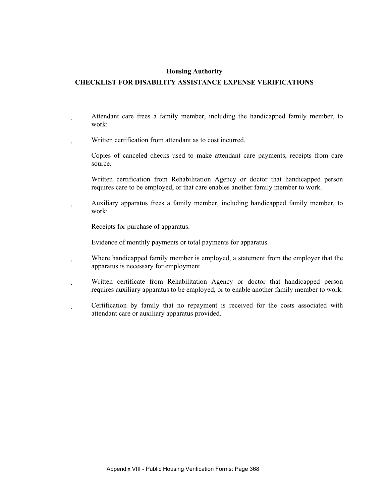# **CHECKLIST FOR DISABILITY ASSISTANCE EXPENSE VERIFICATIONS**

- Attendant care frees a family member, including the handicapped family member, to work:
- Written certification from attendant as to cost incurred.
	- Copies of canceled checks used to make attendant care payments, receipts from care source.
	- Written certification from Rehabilitation Agency or doctor that handicapped person requires care to be employed, or that care enables another family member to work.
- Auxiliary apparatus frees a family member, including handicapped family member, to work:
	- Receipts for purchase of apparatus.
	- Evidence of monthly payments or total payments for apparatus.
- Where handicapped family member is employed, a statement from the employer that the apparatus is necessary for employment.
- Written certificate from Rehabilitation Agency or doctor that handicapped person requires auxiliary apparatus to be employed, or to enable another family member to work.
- Certification by family that no repayment is received for the costs associated with attendant care or auxiliary apparatus provided.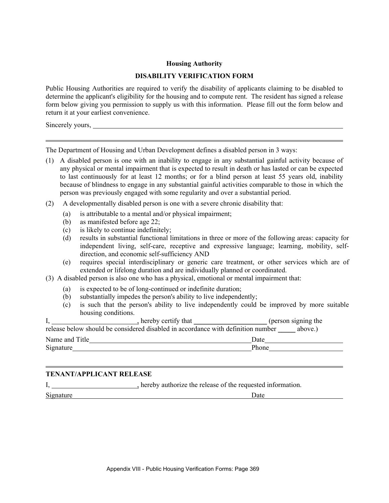## **DISABILITY VERIFICATION FORM**

Public Housing Authorities are required to verify the disability of applicants claiming to be disabled to determine the applicant's eligibility for the housing and to compute rent. The resident has signed a release form below giving you permission to supply us with this information. Please fill out the form below and return it at your earliest convenience.

Sincerely yours,

The Department of Housing and Urban Development defines a disabled person in 3 ways:

- (1) A disabled person is one with an inability to engage in any substantial gainful activity because of any physical or mental impairment that is expected to result in death or has lasted or can be expected to last continuously for at least 12 months; or for a blind person at least 55 years old, inability because of blindness to engage in any substantial gainful activities comparable to those in which the person was previously engaged with some regularity and over a substantial period.
- (2) A developmentally disabled person is one with a severe chronic disability that:
	- (a) is attributable to a mental and/or physical impairment;
	- (b) as manifested before age 22;
	- (c) is likely to continue indefinitely;
	- (d) results in substantial functional limitations in three or more of the following areas: capacity for independent living, self-care, receptive and expressive language; learning, mobility, selfdirection, and economic self-sufficiency AND
	- (e) requires special interdisciplinary or generic care treatment, or other services which are of extended or lifelong duration and are individually planned or coordinated.
- (3) A disabled person is also one who has a physical, emotional or mental impairment that:
	- (a) is expected to be of long-continued or indefinite duration;
	- (b) substantially impedes the person's ability to live independently;
	- (c) is such that the person's ability to live independently could be improved by more suitable housing conditions.

|                | , hereby certify that                                                            | (person signing the |
|----------------|----------------------------------------------------------------------------------|---------------------|
|                | release below should be considered disabled in accordance with definition number | above.)             |
| Name and Title | Date                                                                             |                     |
| Signature      | Phone                                                                            |                     |

# **TENANT/APPLICANT RELEASE**

I, hereby authorize the release of the requested information.

Signature Date

 $\overline{a}$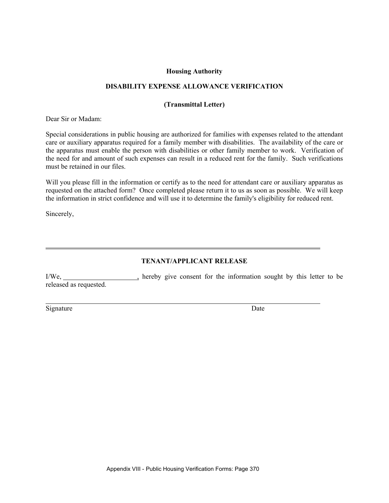## **DISABILITY EXPENSE ALLOWANCE VERIFICATION**

## **(Transmittal Letter)**

Dear Sir or Madam:

Special considerations in public housing are authorized for families with expenses related to the attendant care or auxiliary apparatus required for a family member with disabilities. The availability of the care or the apparatus must enable the person with disabilities or other family member to work. Verification of the need for and amount of such expenses can result in a reduced rent for the family. Such verifications must be retained in our files.

Will you please fill in the information or certify as to the need for attendant care or auxiliary apparatus as requested on the attached form? Once completed please return it to us as soon as possible. We will keep the information in strict confidence and will use it to determine the family's eligibility for reduced rent.

Sincerely,

# **TENANT/APPLICANT RELEASE**

I/We, 1/Me, 1/Me, 1/Me, 1/Me, 1/Me, 1/Me, 1/Me, 1/Me, 1/Me, 1/Me, 1/Me, 1/Me, 1/Me, 1/Me, 1/Me, 1/Me, 1/Me, 1/Me, 1/Me, 1/Me, 1/Me, 1/Me, 1/Me, 1/Me, 1/Me, 1/Me, 1/Me, 1/Me, 1/Me, 1/Me, 1/Me, 1/Me, 1/Me, 1/Me, 1/Me, 1/Me, released as requested.

Signature Date

 $\overline{a}$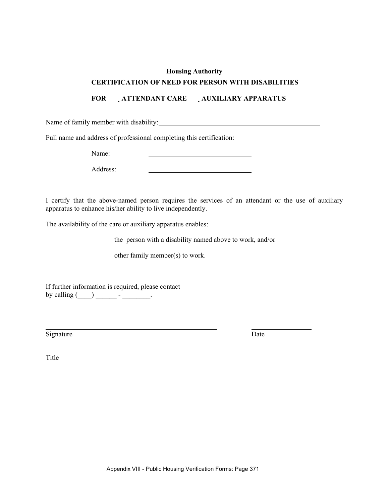## **CERTIFICATION OF NEED FOR PERSON WITH DISABILITIES**

**FOR ATTENDANT CARE AUXILIARY APPARATUS** 

Name of family member with disability:

Full name and address of professional completing this certification:

Name:

Address:

I certify that the above-named person requires the services of an attendant or the use of auxiliary apparatus to enhance his/her ability to live independently.

The availability of the care or auxiliary apparatus enables:

the person with a disability named above to work, and/or

other family member(s) to work.

If further information is required, please contact by calling  $(\_\_) \_\_$  -  $\_\_$ .

Signature Date

Title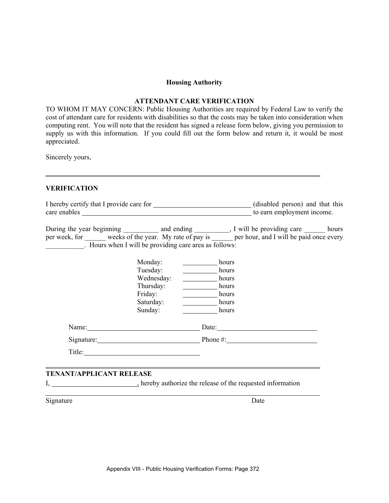## **ATTENDANT CARE VERIFICATION**

TO WHOM IT MAY CONCERN: Public Housing Authorities are required by Federal Law to verify the cost of attendant care for residents with disabilities so that the costs may be taken into consideration when computing rent. You will note that the resident has signed a release form below, giving you permission to supply us with this information. If you could fill out the form below and return it, it would be most appreciated.

Sincerely yours,

# **VERIFICATION**

| care enables <u>to earn employment</u> income.                                                                                                                                                                                                                 |                                                                                                                                                                                                                                |                                                             |                              |  |
|----------------------------------------------------------------------------------------------------------------------------------------------------------------------------------------------------------------------------------------------------------------|--------------------------------------------------------------------------------------------------------------------------------------------------------------------------------------------------------------------------------|-------------------------------------------------------------|------------------------------|--|
| During the year beginning _____________ and ending ___________, I will be providing care _________ hours<br>per week, for weeks of the year. My rate of pay is per hour, and I will be paid once every<br>Hours when I will be providing care area as follows: |                                                                                                                                                                                                                                |                                                             |                              |  |
|                                                                                                                                                                                                                                                                | Monday:<br>Tuesday:<br>Wednesday:<br>Thursday:<br>Friday:<br>Saturday:<br>Sunday:                                                                                                                                              | hours<br>hours<br>hours<br>hours<br>hours<br>hours<br>hours |                              |  |
|                                                                                                                                                                                                                                                                | Name: Name and the set of the set of the set of the set of the set of the set of the set of the set of the set of the set of the set of the set of the set of the set of the set of the set of the set of the set of the set o |                                                             | Date:                        |  |
|                                                                                                                                                                                                                                                                |                                                                                                                                                                                                                                |                                                             | Signature: Phone #: Phone #: |  |
|                                                                                                                                                                                                                                                                |                                                                                                                                                                                                                                |                                                             |                              |  |
| <b>TENANT/APPLICANT RELEASE</b>                                                                                                                                                                                                                                |                                                                                                                                                                                                                                |                                                             |                              |  |

hereby authorize the release of the requested information

Signature Date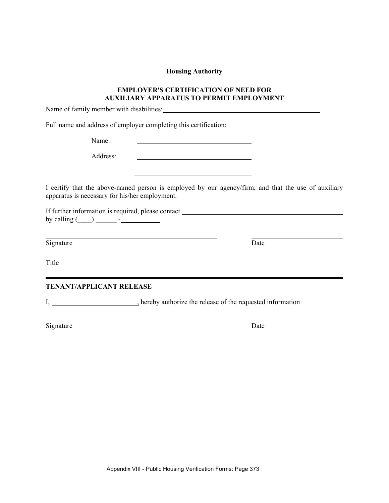# **EMPLOYER'S CERTIFICATION OF NEED FOR AUXILIARY APPARATUS TO PERMIT EMPLOYMENT**

Name of family member with disabilities:

Full name and address of employer completing this certification:

Name:

Address:

I certify that the above-named person is employed by our agency/firm; and that the use of auxiliary apparatus is necessary for his/her employment.

<u> 1989 - Johann Barbara, martin amerikan basa</u>

If further information is required, please contact by calling  $(\_\_)$   $\_\_$ - $\_\_$ .

Signature Date

Title

**TENANT/APPLICANT RELEASE** 

I, \_\_\_\_\_\_\_\_\_\_\_\_\_\_\_\_\_\_\_\_\_\_\_, hereby authorize the release of the requested information

Signature Date

l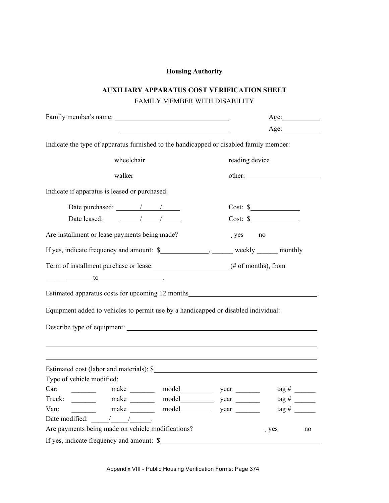# **AUXILIARY APPARATUS COST VERIFICATION SHEET**  FAMILY MEMBER WITH DISABILITY

|                                                                                                          |                | Age:                         |    |
|----------------------------------------------------------------------------------------------------------|----------------|------------------------------|----|
|                                                                                                          |                | Age:                         |    |
| Indicate the type of apparatus furnished to the handicapped or disabled family member:                   |                |                              |    |
| wheelchair                                                                                               | reading device |                              |    |
| walker                                                                                                   |                |                              |    |
| Indicate if apparatus is leased or purchased:                                                            |                |                              |    |
| Date purchased: $\frac{1}{\sqrt{1-\frac{1}{2}}}\left\vert \frac{1}{\sqrt{1-\frac{1}{2}}}\right\vert$     |                | $Cost:$ $\frac{\sqrt{2}}{2}$ |    |
| Date leased: 1 / /                                                                                       |                | $Cost:$ $\frac{\ }{s}$       |    |
| Are installment or lease payments being made?                                                            | yes            | no                           |    |
| If yes, indicate frequency and amount: \$_________________, _______ weekly ______ monthly                |                |                              |    |
| Term of installment purchase or lease: (# of months), from                                               |                |                              |    |
| $\underbrace{\hspace{2cm}}$ to $\underbrace{\hspace{2cm}}$                                               |                |                              |    |
| Estimated apparatus costs for upcoming 12 months <b>Estimated</b> apparatus costs for upcoming 12 months |                |                              |    |
| Equipment added to vehicles to permit use by a handicapped or disabled individual:                       |                |                              |    |
|                                                                                                          |                |                              |    |
|                                                                                                          |                |                              |    |
|                                                                                                          |                |                              |    |
| Estimated cost (labor and materials): \$                                                                 |                |                              |    |
| Type of vehicle modified:                                                                                |                |                              |    |
| make model year year<br>Car:                                                                             |                | $tag \#$                     |    |
| Truck:<br>make $\_\_$                                                                                    |                |                              |    |
| Van:<br>make $\_\_$                                                                                      |                | $\frac{\pi}{4}$              |    |
| Date modified: $\frac{1}{2}$ / $\frac{1}{2}$                                                             |                |                              |    |
| Are payments being made on vehicle modifications?                                                        |                | . yes                        | no |
| If yes, indicate frequency and amount: \$                                                                |                |                              |    |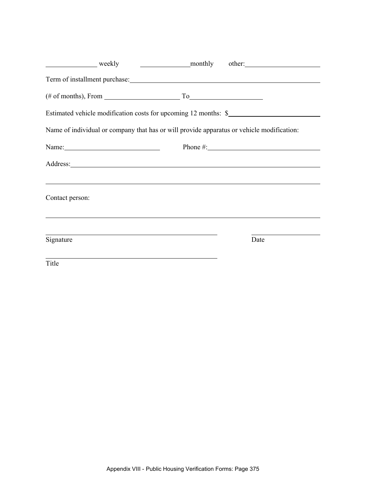| weekly                    | monthly other:                                                                            |
|---------------------------|-------------------------------------------------------------------------------------------|
|                           |                                                                                           |
|                           | $(\# \text{ of months})$ , From $\qquad \qquad \qquad$ To                                 |
|                           | Estimated vehicle modification costs for upcoming 12 months: \$                           |
|                           | Name of individual or company that has or will provide apparatus or vehicle modification: |
| Name: $\frac{1}{2}$ Name: | Phone $\#$ :                                                                              |
|                           | Address:                                                                                  |
| Contact person:           | ,我们也不会有什么。""我们的人,我们也不会有什么?""我们的人,我们也不会有什么?""我们的人,我们也不会有什么?""我们的人,我们也不会有什么?""我们的人          |
| Signature                 | Date                                                                                      |
| Title                     |                                                                                           |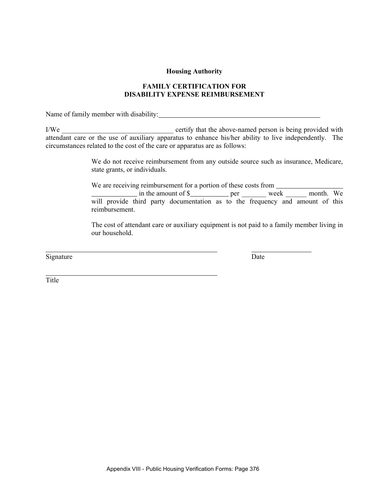# **FAMILY CERTIFICATION FOR DISABILITY EXPENSE REIMBURSEMENT**

Name of family member with disability:

I/We \_\_\_\_\_\_\_\_\_\_\_\_\_\_\_\_\_\_\_\_\_\_\_\_\_\_\_\_\_\_\_\_ certify that the above-named person is being provided with attendant care or the use of auxiliary apparatus to enhance his/her ability to live independently. The circumstances related to the cost of the care or apparatus are as follows:

> We do not receive reimbursement from any outside source such as insurance, Medicare, state grants, or individuals.

> We are receiving reimbursement for a portion of these costs from  $\frac{1}{2}$  in the amount of \$ will provide third party documentation as to the frequency and amount of this reimbursement.

> The cost of attendant care or auxiliary equipment is not paid to a family member living in our household.

Signature Date

**Title**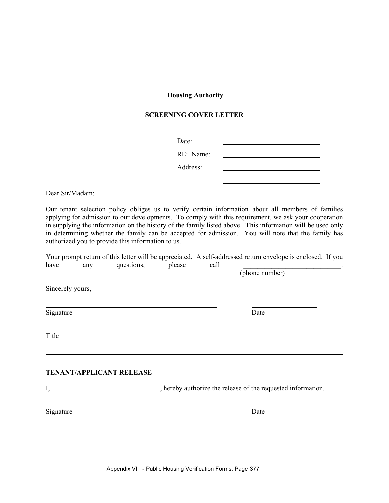# **SCREENING COVER LETTER**

| Date:     |  |
|-----------|--|
| RE: Name: |  |
| Address:  |  |

Dear Sir/Madam:

Our tenant selection policy obliges us to verify certain information about all members of families applying for admission to our developments. To comply with this requirement, we ask your cooperation in supplying the information on the history of the family listed above. This information will be used only in determining whether the family can be accepted for admission. You will note that the family has authorized you to provide this information to us.

Your prompt return of this letter will be appreciated. A self-addressed return envelope is enclosed. If you have any questions, please call

(phone number)

Sincerely yours,

Signature Date

Title

#### **TENANT/APPLICANT RELEASE**

I, hereby authorize the release of the requested information.

Signature Date

l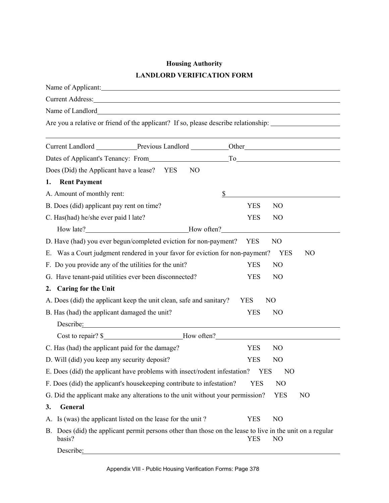# **Housing Authority LANDLORD VERIFICATION FORM**

| Name of Applicant:                                                                                                                                                                                                                                                          |                              |
|-----------------------------------------------------------------------------------------------------------------------------------------------------------------------------------------------------------------------------------------------------------------------------|------------------------------|
|                                                                                                                                                                                                                                                                             |                              |
| Name of Landlord<br>Name of Landlord                                                                                                                                                                                                                                        |                              |
| Are you a relative or friend of the applicant? If so, please describe relationship: __________________________                                                                                                                                                              |                              |
| Current Landlord Previous Landlord Current Landlord Current Landlord                                                                                                                                                                                                        |                              |
| Dates of Applicant's Tenancy: From To To                                                                                                                                                                                                                                    |                              |
|                                                                                                                                                                                                                                                                             |                              |
| Does (Did) the Applicant have a lease? YES<br>N <sub>O</sub>                                                                                                                                                                                                                |                              |
| <b>Rent Payment</b><br>1.                                                                                                                                                                                                                                                   |                              |
| A. Amount of monthly rent:                                                                                                                                                                                                                                                  | \$                           |
| B. Does (did) applicant pay rent on time?                                                                                                                                                                                                                                   | <b>YES</b><br>N <sub>O</sub> |
| C. Has (had) he/she ever paid 1 late?                                                                                                                                                                                                                                       | <b>YES</b><br>N <sub>O</sub> |
| How late? <b>Move</b> late? <b>Move</b> late? <b>Move</b> late? <b>Move</b> late? <b>Move</b> late? <b>Move</b> often? <b>Move</b> often? <b>Move</b> often? <b>Move</b> of the set of the set of the set of the set of the set of the set of the set of the set of the set |                              |
| D. Have (had) you ever begun/completed eviction for non-payment?                                                                                                                                                                                                            | <b>YES</b><br>N <sub>O</sub> |
| E. Was a Court judgment rendered in your favor for eviction for non-payment?                                                                                                                                                                                                | <b>YES</b><br>N <sub>O</sub> |
| F. Do you provide any of the utilities for the unit?                                                                                                                                                                                                                        | <b>YES</b><br>N <sub>O</sub> |
| G. Have tenant-paid utilities ever been disconnected?                                                                                                                                                                                                                       | <b>YES</b><br>N <sub>O</sub> |
| <b>Caring for the Unit</b><br>2.                                                                                                                                                                                                                                            |                              |
| A. Does (did) the applicant keep the unit clean, safe and sanitary?                                                                                                                                                                                                         | <b>YES</b><br>N <sub>O</sub> |
| B. Has (had) the applicant damaged the unit?                                                                                                                                                                                                                                | <b>YES</b><br>N <sub>O</sub> |
| Describe: 2000 and 2000 and 2000 and 2000 and 2000 and 2000 and 2000 and 2000 and 2000 and 2000 and 2000 and 2000 and 2000 and 2000 and 2000 and 2000 and 2000 and 2000 and 2000 and 2000 and 2000 and 2000 and 2000 and 2000                                               |                              |
|                                                                                                                                                                                                                                                                             |                              |
| C. Has (had) the applicant paid for the damage?                                                                                                                                                                                                                             | <b>YES</b><br>N <sub>O</sub> |
| D. Will (did) you keep any security deposit?                                                                                                                                                                                                                                | <b>YES</b><br>N <sub>O</sub> |
| E. Does (did) the applicant have problems with insect/rodent infestation?                                                                                                                                                                                                   | <b>YES</b><br>N <sub>O</sub> |
| F. Does (did) the applicant's housekeeping contribute to infestation?                                                                                                                                                                                                       | NO<br><b>YES</b>             |
| G. Did the applicant make any alterations to the unit without your permission?                                                                                                                                                                                              | <b>YES</b><br>N <sub>O</sub> |
| General<br>3.                                                                                                                                                                                                                                                               |                              |
| A. Is (was) the applicant listed on the lease for the unit?                                                                                                                                                                                                                 | N <sub>O</sub><br><b>YES</b> |
| B. Does (did) the applicant permit persons other than those on the lease to live in the unit on a regular<br>basis?                                                                                                                                                         | <b>YES</b><br>N <sub>O</sub> |
| Describe:                                                                                                                                                                                                                                                                   |                              |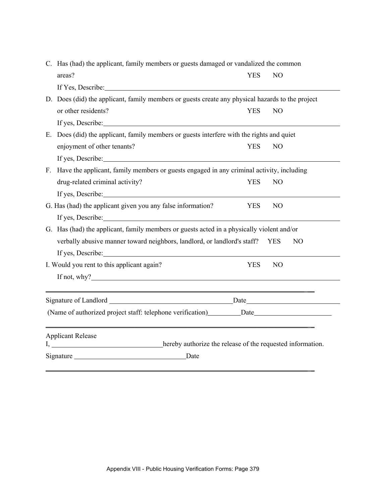| C. Has (had) the applicant, family members or guests damaged or vandalized the common                                                                                                                                                 |            |                |                |  |  |
|---------------------------------------------------------------------------------------------------------------------------------------------------------------------------------------------------------------------------------------|------------|----------------|----------------|--|--|
| areas?                                                                                                                                                                                                                                | <b>YES</b> | N <sub>O</sub> |                |  |  |
| If Yes, Describe: 1988. If Yes, Describe:                                                                                                                                                                                             |            |                |                |  |  |
| D. Does (did) the applicant, family members or guests create any physical hazards to the project                                                                                                                                      |            |                |                |  |  |
| or other residents?                                                                                                                                                                                                                   | <b>YES</b> | N <sub>O</sub> |                |  |  |
|                                                                                                                                                                                                                                       |            |                |                |  |  |
| E. Does (did) the applicant, family members or guests interfere with the rights and quiet                                                                                                                                             |            |                |                |  |  |
| enjoyment of other tenants?                                                                                                                                                                                                           | <b>YES</b> | N <sub>O</sub> |                |  |  |
| If yes, Describe:                                                                                                                                                                                                                     |            |                |                |  |  |
| F. Have the applicant, family members or guests engaged in any criminal activity, including                                                                                                                                           |            |                |                |  |  |
| drug-related criminal activity?                                                                                                                                                                                                       | <b>YES</b> | N <sub>O</sub> |                |  |  |
|                                                                                                                                                                                                                                       |            |                |                |  |  |
| G. Has (had) the applicant given you any false information?                                                                                                                                                                           | YES.       | N <sub>O</sub> |                |  |  |
|                                                                                                                                                                                                                                       |            |                |                |  |  |
| G. Has (had) the applicant, family members or guests acted in a physically violent and/or                                                                                                                                             |            |                |                |  |  |
| verbally abusive manner toward neighbors, landlord, or landlord's staff? YES                                                                                                                                                          |            |                | N <sub>O</sub> |  |  |
|                                                                                                                                                                                                                                       |            |                |                |  |  |
| I. Would you rent to this applicant again?                                                                                                                                                                                            | <b>YES</b> | N <sub>O</sub> |                |  |  |
| If not, why? $\qquad \qquad$                                                                                                                                                                                                          |            |                |                |  |  |
| <u> 1989 - Johann Stoff, amerikansk politiker (d. 1989)</u>                                                                                                                                                                           |            |                |                |  |  |
|                                                                                                                                                                                                                                       |            |                |                |  |  |
| (Name of authorized project staff: telephone verification) ________ Date____________________________<br><u> 2002 - Jan Samuel Barbara, margaret eta bat zen bat zen bat zen bat zen bat zen bat zen bat zen bat zen bat </u>          |            |                |                |  |  |
| <b>Applicant Release</b>                                                                                                                                                                                                              |            |                |                |  |  |
| I, hereby authorize the release of the requested information.                                                                                                                                                                         |            |                |                |  |  |
| Signature expansion of the state of the state of the state of the state of the state of the state of the state of the state of the state of the state of the state of the state of the state of the state of the state of the<br>Date |            |                |                |  |  |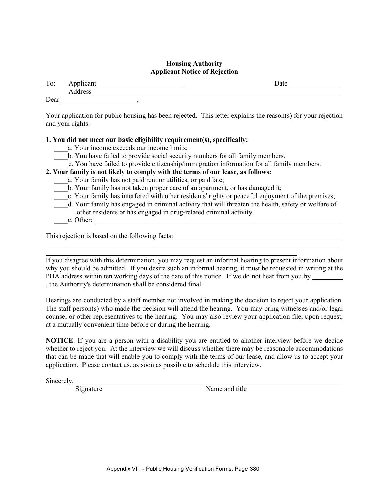# **Housing Authority Applicant Notice of Rejection**

| To:  | Applicant | )ate |
|------|-----------|------|
|      | Address   |      |
| Dear | $\sim$    |      |

Your application for public housing has been rejected. This letter explains the reason(s) for your rejection and your rights.

# **1. You did not meet our basic eligibility requirement(s), specifically:**

- a. Your income exceeds our income limits;
- \_\_\_\_b. You have failed to provide social security numbers for all family members.
- c. You have failed to provide citizenship/immigration information for all family members.

# **2. Your family is not likely to comply with the terms of our lease, as follows:**

- a. Your family has not paid rent or utilities, or paid late;
- b. Your family has not taken proper care of an apartment, or has damaged it;
- c. Your family has interfered with other residents' rights or peaceful enjoyment of the premises;
- \_\_\_\_d. Your family has engaged in criminal activity that will threaten the health, safety or welfare of other residents or has engaged in drug-related criminal activity.
- \_\_\_\_e. Other:

l l

This rejection is based on the following facts:

If you disagree with this determination, you may request an informal hearing to present information about why you should be admitted. If you desire such an informal hearing, it must be requested in writing at the PHA address within ten working days of the date of this notice. If we do not hear from you by , the Authority's determination shall be considered final.

Hearings are conducted by a staff member not involved in making the decision to reject your application. The staff person(s) who made the decision will attend the hearing. You may bring witnesses and/or legal counsel or other representatives to the hearing. You may also review your application file, upon request, at a mutually convenient time before or during the hearing.

**NOTICE**: If you are a person with a disability you are entitled to another interview before we decide whether to reject you. At the interview we will discuss whether there may be reasonable accommodations that can be made that will enable you to comply with the terms of our lease, and allow us to accept your application. Please contact us. as soon as possible to schedule this interview.

Sincerely,

Signature Name and title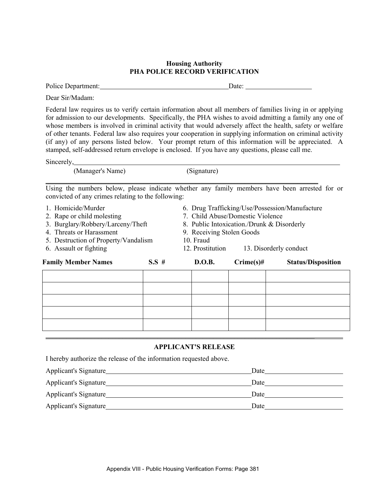# **Housing Authority PHA POLICE RECORD VERIFICATION**

Police Department: Date: Department: Date: Date: Date: Date: Date: Date: Date: Date: Date: Date: Date: Date: Date: Date: Date: Date: Date: Date: Date: Date: Date: Date: Date: Date: Date: Date: Date: Date: Date: Date: Date:

Dear Sir/Madam:

Federal law requires us to verify certain information about all members of families living in or applying for admission to our developments. Specifically, the PHA wishes to avoid admitting a family any one of whose members is involved in criminal activity that would adversely affect the health, safety or welfare of other tenants. Federal law also requires your cooperation in supplying information on criminal activity (if any) of any persons listed below. Your prompt return of this information will be appreciated. A stamped, self-addressed return envelope is enclosed. If you have any questions, please call me.

Sincerely,

 (Manager's Name) (Signature) \_\_\_\_\_\_\_\_\_\_\_\_\_\_\_\_\_\_\_\_\_\_\_\_\_\_\_\_\_\_\_\_\_\_\_\_\_\_\_\_\_\_\_\_\_\_\_\_\_\_\_\_\_\_\_\_\_\_\_\_\_\_\_\_\_\_\_\_\_\_\_\_\_\_\_\_\_\_

Using the numbers below, please indicate whether any family members have been arrested for or convicted of any crimes relating to the following:

| <b>Family Member Names</b>           | $S.S \#$                                   | D.O.B.                                         | $C$ rime $(s)$ # | <b>Status/Disposition</b> |  |  |
|--------------------------------------|--------------------------------------------|------------------------------------------------|------------------|---------------------------|--|--|
| 6. Assault or fighting               |                                            | 12. Prostitution                               |                  | 13. Disorderly conduct    |  |  |
| 5. Destruction of Property/Vandalism |                                            | 10. Fraud                                      |                  |                           |  |  |
| 4. Threats or Harassment             |                                            | 9. Receiving Stolen Goods                      |                  |                           |  |  |
| 3. Burglary/Robbery/Larceny/Theft    | 8. Public Intoxication./Drunk & Disorderly |                                                |                  |                           |  |  |
| 2. Rape or child molesting           |                                            | 7. Child Abuse/Domestic Violence               |                  |                           |  |  |
| 1. Homicide/Murder                   |                                            | 6. Drug Trafficking/Use/Possession/Manufacture |                  |                           |  |  |

#### **APPLICANT'S RELEASE**

I hereby authorize the release of the information requested above.

| Applicant's Signature | Date |
|-----------------------|------|
| Applicant's Signature | Date |
| Applicant's Signature | Date |
| Applicant's Signature | Date |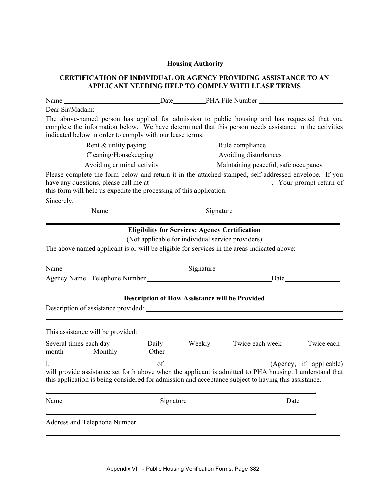# **CERTIFICATION OF INDIVIDUAL OR AGENCY PROVIDING ASSISTANCE TO AN APPLICANT NEEDING HELP TO COMPLY WITH LEASE TERMS**

| Dear Sir/Madam:                                                                                     |           |                                                                                                                                                                                                                                                                                                  |
|-----------------------------------------------------------------------------------------------------|-----------|--------------------------------------------------------------------------------------------------------------------------------------------------------------------------------------------------------------------------------------------------------------------------------------------------|
| indicated below in order to comply with our lease terms.                                            |           | The above-named person has applied for admission to public housing and has requested that you<br>complete the information below. We have determined that this person needs assistance in the activities                                                                                          |
| Rent & utility paying                                                                               |           | Rule compliance                                                                                                                                                                                                                                                                                  |
| Cleaning/Housekeeping                                                                               |           | Avoiding disturbances                                                                                                                                                                                                                                                                            |
| Avoiding criminal activity                                                                          |           | Maintaining peaceful, safe occupancy                                                                                                                                                                                                                                                             |
|                                                                                                     |           | Please complete the form below and return it in the attached stamped, self-addressed envelope. If you<br>have any questions, please call me at<br>this form will help us expedite the processing of this application.<br>Now this form will help us expedite the processing of this application. |
| Sincerely, Sincerely,                                                                               |           |                                                                                                                                                                                                                                                                                                  |
| Name                                                                                                |           | Signature                                                                                                                                                                                                                                                                                        |
| The above named applicant is or will be eligible for services in the areas indicated above:<br>Name |           | (Not applicable for individual service providers)<br>Signature Signature Signature Signature Signature Signature Signature Signature Signature Signature Signature Signature Signature Signature Signature Signature Signature Signature Signature Signature Signature Signature Si              |
|                                                                                                     |           |                                                                                                                                                                                                                                                                                                  |
|                                                                                                     |           | <b>Description of How Assistance will be Provided</b>                                                                                                                                                                                                                                            |
|                                                                                                     |           |                                                                                                                                                                                                                                                                                                  |
| This assistance will be provided:                                                                   |           |                                                                                                                                                                                                                                                                                                  |
| month _________ Monthly __________Other                                                             |           | Several times each day ___________ Daily _______ Weekly ______ Twice each week _______ Twice each                                                                                                                                                                                                |
|                                                                                                     |           | I, of (Agency, if applicable)<br>will provide assistance set forth above when the applicant is admitted to PHA housing. I understand that                                                                                                                                                        |
|                                                                                                     |           | this application is being considered for admission and acceptance subject to having this assistance.                                                                                                                                                                                             |
| Name                                                                                                | Signature | Date                                                                                                                                                                                                                                                                                             |
| <b>Address and Telephone Number</b>                                                                 |           |                                                                                                                                                                                                                                                                                                  |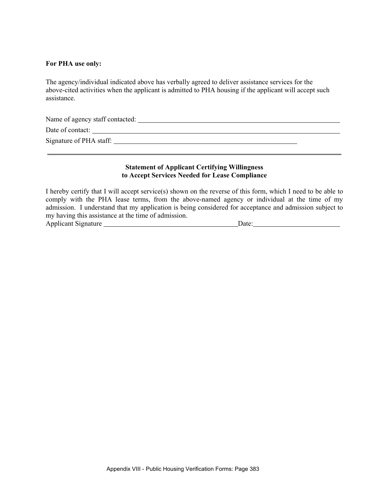### **For PHA use only:**

The agency/individual indicated above has verbally agreed to deliver assistance services for the above-cited activities when the applicant is admitted to PHA housing if the applicant will accept such assistance.

Name of agency staff contacted:

Date of contact:

 $\overline{a}$ 

Signature of PHA staff:

## **Statement of Applicant Certifying Willingness to Accept Services Needed for Lease Compliance**

I hereby certify that I will accept service(s) shown on the reverse of this form, which I need to be able to comply with the PHA lease terms, from the above-named agency or individual at the time of my admission. I understand that my application is being considered for acceptance and admission subject to my having this assistance at the time of admission. Applicant Signature Date: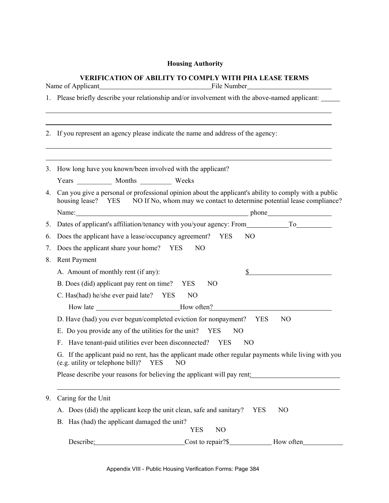# **VERIFICATION OF ABILITY TO COMPLY WITH PHA LEASE TERMS**

| Name of Applicant<br>File Number |    |                                                                                                                                                                                                                                |                                                     | <u> 1989 - Johann Barbara, martin a</u>                                                                                                                                         |  |  |
|----------------------------------|----|--------------------------------------------------------------------------------------------------------------------------------------------------------------------------------------------------------------------------------|-----------------------------------------------------|---------------------------------------------------------------------------------------------------------------------------------------------------------------------------------|--|--|
|                                  |    | 1. Please briefly describe your relationship and/or involvement with the above-named applicant:                                                                                                                                |                                                     |                                                                                                                                                                                 |  |  |
|                                  |    | 2. If you represent an agency please indicate the name and address of the agency:                                                                                                                                              |                                                     |                                                                                                                                                                                 |  |  |
|                                  |    | 3. How long have you known/been involved with the applicant?                                                                                                                                                                   |                                                     |                                                                                                                                                                                 |  |  |
|                                  |    |                                                                                                                                                                                                                                |                                                     |                                                                                                                                                                                 |  |  |
| 4.                               |    | housing lease? YES                                                                                                                                                                                                             |                                                     | Can you give a personal or professional opinion about the applicant's ability to comply with a public<br>NO If No, whom may we contact to determine potential lease compliance? |  |  |
|                                  |    | Name: Name and the state of the state of the state of the state of the state of the state of the state of the state of the state of the state of the state of the state of the state of the state of the state of the state of |                                                     | phone                                                                                                                                                                           |  |  |
| 5.                               |    | Dates of applicant's affiliation/tenancy with you/your agency: From To                                                                                                                                                         |                                                     |                                                                                                                                                                                 |  |  |
| 6.                               |    | Does the applicant have a lease/occupancy agreement? YES                                                                                                                                                                       |                                                     | NO                                                                                                                                                                              |  |  |
| 7.                               |    | Does the applicant share your home? YES                                                                                                                                                                                        | NO                                                  |                                                                                                                                                                                 |  |  |
| 8.                               |    | <b>Rent Payment</b>                                                                                                                                                                                                            |                                                     |                                                                                                                                                                                 |  |  |
|                                  |    | A. Amount of monthly rent (if any):                                                                                                                                                                                            |                                                     |                                                                                                                                                                                 |  |  |
|                                  |    | B. Does (did) applicant pay rent on time? YES                                                                                                                                                                                  | N <sub>O</sub>                                      |                                                                                                                                                                                 |  |  |
|                                  |    | C. Has(had) he/she ever paid late? YES                                                                                                                                                                                         | N <sub>O</sub>                                      |                                                                                                                                                                                 |  |  |
|                                  |    |                                                                                                                                                                                                                                | How late ________________________________How often? |                                                                                                                                                                                 |  |  |
|                                  |    | D. Have (had) you ever begun/completed eviction for nonpayment?                                                                                                                                                                |                                                     | YES<br>N <sub>O</sub>                                                                                                                                                           |  |  |
|                                  |    | E. Do you provide any of the utilities for the unit? YES                                                                                                                                                                       | NO                                                  |                                                                                                                                                                                 |  |  |
|                                  | F. | Have tenant-paid utilities ever been disconnected? YES                                                                                                                                                                         |                                                     | N <sub>O</sub>                                                                                                                                                                  |  |  |
|                                  |    | (e.g. utility or telephone bill)? YES                                                                                                                                                                                          | N <sub>O</sub>                                      | G. If the applicant paid no rent, has the applicant made other regular payments while living with you                                                                           |  |  |
|                                  |    | Please describe your reasons for believing the applicant will pay rent:                                                                                                                                                        |                                                     |                                                                                                                                                                                 |  |  |
| 9.                               |    | Caring for the Unit                                                                                                                                                                                                            |                                                     |                                                                                                                                                                                 |  |  |
|                                  |    | A. Does (did) the applicant keep the unit clean, safe and sanitary?                                                                                                                                                            |                                                     | N <sub>O</sub><br><b>YES</b>                                                                                                                                                    |  |  |
|                                  |    | B. Has (had) the applicant damaged the unit?                                                                                                                                                                                   | N <sub>O</sub><br><b>YES</b>                        |                                                                                                                                                                                 |  |  |
|                                  |    | Describe:                                                                                                                                                                                                                      | Cost to repair?\$                                   | How often                                                                                                                                                                       |  |  |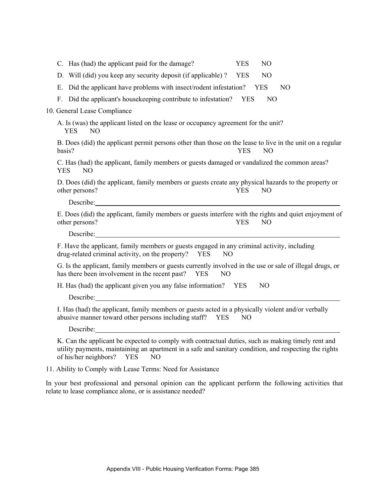| C. Has (had) the applicant paid for the damage?                                                                                                                                                                                                             | <b>YES</b>     | N <sub>O</sub> |    |  |
|-------------------------------------------------------------------------------------------------------------------------------------------------------------------------------------------------------------------------------------------------------------|----------------|----------------|----|--|
| D. Will (did) you keep any security deposit (if applicable)?                                                                                                                                                                                                | <b>YES</b>     | N <sub>O</sub> |    |  |
| E. Did the applicant have problems with insect/rodent infestation?                                                                                                                                                                                          |                | YES            | NO |  |
| F. Did the applicant's house keeping contribute to infestation? YES                                                                                                                                                                                         |                | N <sub>O</sub> |    |  |
| 10. General Lease Compliance                                                                                                                                                                                                                                |                |                |    |  |
| A. Is (was) the applicant listed on the lease or occupancy agreement for the unit?<br><b>YES</b><br>N <sub>O</sub>                                                                                                                                          |                |                |    |  |
| B. Does (did) the applicant permit persons other than those on the lease to live in the unit on a regular<br>basis?                                                                                                                                         | <b>YES</b>     | N <sub>O</sub> |    |  |
| C. Has (had) the applicant, family members or guests damaged or vandalized the common areas?<br><b>YES</b><br>NO                                                                                                                                            |                |                |    |  |
| D. Does (did) the applicant, family members or guests create any physical hazards to the property or<br>other persons?                                                                                                                                      | <b>YES</b>     | N <sub>O</sub> |    |  |
| Describe:                                                                                                                                                                                                                                                   |                |                |    |  |
| E. Does (did) the applicant, family members or guests interfere with the rights and quiet enjoyment of<br>other persons?                                                                                                                                    | <b>YES</b>     | N <sub>O</sub> |    |  |
| Describe: 2000 and 2000 and 2000 and 2000 and 2000 and 2000 and 2000 and 2000 and 2000 and 2000 and 2000 and 2000 and 2000 and 2000 and 2000 and 2000 and 2000 and 2000 and 2000 and 2000 and 2000 and 2000 and 2000 and 2000                               |                |                |    |  |
| F. Have the applicant, family members or guests engaged in any criminal activity, including<br>drug-related criminal activity, on the property?<br><b>YES</b>                                                                                               | N <sub>O</sub> |                |    |  |
| G. Is the applicant, family members or guests currently involved in the use or sale of illegal drugs, or<br>has there been involvement in the recent past? YES<br>N <sub>O</sub>                                                                            |                |                |    |  |
| H. Has (had) the applicant given you any false information? YES                                                                                                                                                                                             |                | N <sub>O</sub> |    |  |
| Describe:                                                                                                                                                                                                                                                   |                |                |    |  |
| I. Has (had) the applicant, family members or guests acted in a physically violent and/or verbally<br>abusive manner toward other persons including staff?<br>YES                                                                                           | N <sub>O</sub> |                |    |  |
| Describe:                                                                                                                                                                                                                                                   |                |                |    |  |
| K. Can the applicant be expected to comply with contractual duties, such as making timely rent and<br>utility payments, maintaining an apartment in a safe and sanitary condition, and respecting the rights<br>of his/her neighbors? YES<br>N <sub>O</sub> |                |                |    |  |
| 11. Ability to Comply with Lease Terms: Need for Assistance                                                                                                                                                                                                 |                |                |    |  |

In your best professional and personal opinion can the applicant perform the following activities that relate to lease compliance alone, or is assistance needed?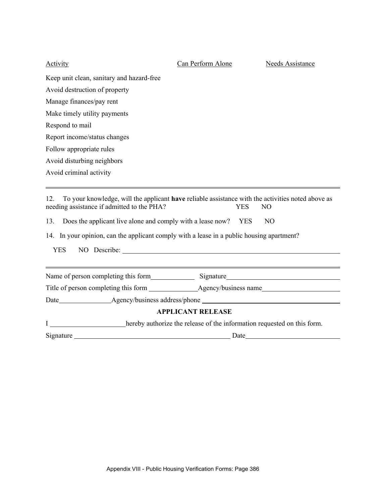| <b>Activity</b>                                                                                                                                                                                                                                                                                                                        | Can Perform Alone        | Needs Assistance                 |
|----------------------------------------------------------------------------------------------------------------------------------------------------------------------------------------------------------------------------------------------------------------------------------------------------------------------------------------|--------------------------|----------------------------------|
| Keep unit clean, sanitary and hazard-free                                                                                                                                                                                                                                                                                              |                          |                                  |
| Avoid destruction of property                                                                                                                                                                                                                                                                                                          |                          |                                  |
| Manage finances/pay rent                                                                                                                                                                                                                                                                                                               |                          |                                  |
| Make timely utility payments                                                                                                                                                                                                                                                                                                           |                          |                                  |
| Respond to mail                                                                                                                                                                                                                                                                                                                        |                          |                                  |
| Report income/status changes                                                                                                                                                                                                                                                                                                           |                          |                                  |
| Follow appropriate rules                                                                                                                                                                                                                                                                                                               |                          |                                  |
| Avoid disturbing neighbors                                                                                                                                                                                                                                                                                                             |                          |                                  |
| Avoid criminal activity                                                                                                                                                                                                                                                                                                                |                          |                                  |
| To your knowledge, will the applicant have reliable assistance with the activities noted above as<br>12.<br>needing assistance if admitted to the PHA?<br>Does the applicant live alone and comply with a lease now?<br>13.<br>14. In your opinion, can the applicant comply with a lease in a public housing apartment?<br><b>YES</b> | <b>YES</b><br><b>YES</b> | N <sub>O</sub><br>N <sub>O</sub> |
| Name of person completing this form Signature Signature                                                                                                                                                                                                                                                                                |                          |                                  |
|                                                                                                                                                                                                                                                                                                                                        |                          |                                  |
|                                                                                                                                                                                                                                                                                                                                        |                          |                                  |
|                                                                                                                                                                                                                                                                                                                                        | <b>APPLICANT RELEASE</b> |                                  |
| hereby authorize the release of the information requested on this form.                                                                                                                                                                                                                                                                |                          |                                  |
| Signature                                                                                                                                                                                                                                                                                                                              | Date                     |                                  |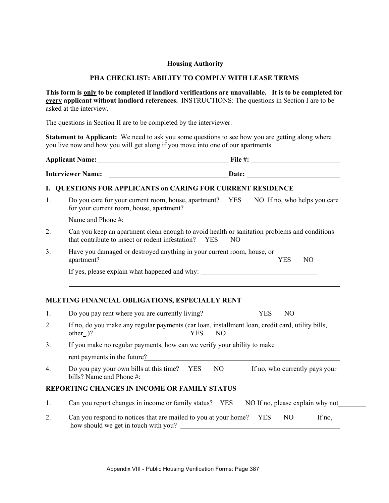# **PHA CHECKLIST: ABILITY TO COMPLY WITH LEASE TERMS**

**This form is only to be completed if landlord verifications are unavailable. It is to be completed for every applicant without landlord references.** INSTRUCTIONS: The questions in Section I are to be asked at the interview.

The questions in Section II are to be completed by the interviewer.

**Statement to Applicant:** We need to ask you some questions to see how you are getting along where you live now and how you will get along if you move into one of our apartments.

| Applicant Name: 1988 |                                                                                                                                                             | File #: $\frac{1}{2}$ = 0.000 m |            |     |
|----------------------|-------------------------------------------------------------------------------------------------------------------------------------------------------------|---------------------------------|------------|-----|
|                      |                                                                                                                                                             |                                 |            |     |
| 1.                   | Do you care for your current room, house, apartment? YES NO If no, who helps you care<br>for your current room, house, apartment?                           |                                 |            |     |
|                      |                                                                                                                                                             |                                 |            |     |
| 2.                   | Can you keep an apartment clean enough to avoid health or sanitation problems and conditions<br>that contribute to insect or rodent infestation? YES<br>NO. |                                 |            |     |
| 3 <sub>1</sub>       | Have you damaged or destroyed anything in your current room, house, or<br>apartment?                                                                        |                                 | <b>YES</b> | NO. |
|                      | If yes, please explain what happened and why: ___________________________________                                                                           |                                 |            |     |
|                      | MEETING FINANCIAL OBLIGATIONS, ESPECIALLY RENT                                                                                                              |                                 |            |     |
| 1.                   | Do you pay rent where you are currently living?                                                                                                             | YES                             | NO         |     |
|                      |                                                                                                                                                             |                                 |            |     |

- 2. If no, do you make any regular payments (car loan, installment loan, credit card, utility bills, other .)? YES NO
- 3. If you make no regular payments, how can we verify your ability to make rent payments in the future?
- 4. Do you pay your own bills at this time? YES NO If no, who currently pays your bills? Name and Phone #:

# **REPORTING CHANGES IN INCOME OR FAMILY STATUS**

- 1. Can you report changes in income or family status? YES NO If no, please explain why not
- 2. Can you respond to notices that are mailed to you at your home? YES NO If no, how should we get in touch with you?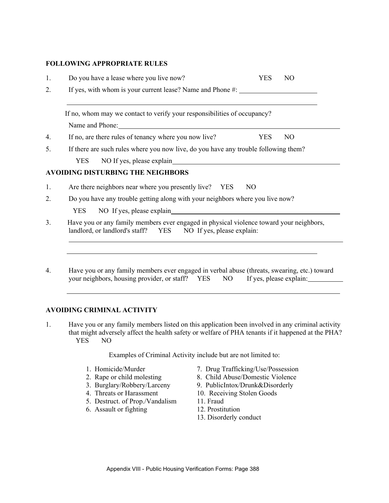# **FOLLOWING APPROPRIATE RULES**

| 1.             | Do you have a lease where you live now?<br><b>YES</b><br>N <sub>O</sub>                                                                                  |
|----------------|----------------------------------------------------------------------------------------------------------------------------------------------------------|
| 2.             | If yes, with whom is your current lease? Name and Phone #:                                                                                               |
|                | If no, whom may we contact to verify your responsibilities of occupancy?                                                                                 |
|                | Name and Phone: Name and Phone:                                                                                                                          |
| 4.             | If no, are there rules of tenancy where you now live?<br>YES<br>N <sub>O</sub>                                                                           |
| 5.             | If there are such rules where you now live, do you have any trouble following them?                                                                      |
|                | NO If yes, please explain<br><b>YES</b>                                                                                                                  |
|                | AVOIDING DISTURBING THE NEIGHBORS                                                                                                                        |
| 1.             | Are there neighbors near where you presently live? YES<br>N <sub>O</sub>                                                                                 |
| 2.             | Do you have any trouble getting along with your neighbors where you live now?                                                                            |
|                | NO If yes, please explain<br><b>YES</b>                                                                                                                  |
| 3 <sub>1</sub> | Have you or any family members ever engaged in physical violence toward your neighbors,<br>landlord, or landlord's staff? YES NO If yes, please explain: |
|                |                                                                                                                                                          |
|                |                                                                                                                                                          |
| 4.             | Have you or any family members ever engaged in verbal abuse (threats, swearing, etc.) toward                                                             |

 $\frac{4.48}{NQ}$  in each, swearing, etc.) toward your neighbors, housing provider, or staff? YES

## **AVOIDING CRIMINAL ACTIVITY**

1. Have you or any family members listed on this application been involved in any criminal activity that might adversely affect the health safety or welfare of PHA tenants if it happened at the PHA? YES NO

Examples of Criminal Activity include but are not limited to:

- 
- 
- 
- 4. Threats or Harassment 10. Receiving Stolen Goods
- 5. Destruct. of Prop./Vandalism 11. Fraud
- 6. Assault or fighting 12. Prostitution
- 1. Homicide/Murder 7. Drug Trafficking/Use/Possession
- 2. Rape or child molesting 8. Child Abuse/Domestic Violence
- 3. Burglary/Robbery/Larceny 9. PublicIntox/Drunk&Disorderly
	-
	-
	-
	- 13. Disorderly conduct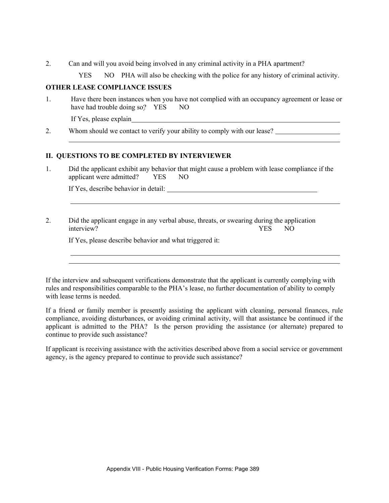- 2. Can and will you avoid being involved in any criminal activity in a PHA apartment?
	- YES NO PHA will also be checking with the police for any history of criminal activity.

## **OTHER LEASE COMPLIANCE ISSUES**

1. Have there been instances when you have not complied with an occupancy agreement or lease or have had trouble doing so? YES NO

If Yes, please explain

l

2. Whom should we contact to verify your ability to comply with our lease?

## **II. QUESTIONS TO BE COMPLETED BY INTERVIEWER**

1. Did the applicant exhibit any behavior that might cause a problem with lease compliance if the applicant were admitted? YES NO

If Yes, describe behavior in detail:

# 2. Did the applicant engage in any verbal abuse, threats, or swearing during the application interview? YES NO

If Yes, please describe behavior and what triggered it:

If the interview and subsequent verifications demonstrate that the applicant is currently complying with rules and responsibilities comparable to the PHA's lease, no further documentation of ability to comply with lease terms is needed.

If a friend or family member is presently assisting the applicant with cleaning, personal finances, rule compliance, avoiding disturbances, or avoiding criminal activity, will that assistance be continued if the applicant is admitted to the PHA? Is the person providing the assistance (or alternate) prepared to continue to provide such assistance?

If applicant is receiving assistance with the activities described above from a social service or government agency, is the agency prepared to continue to provide such assistance?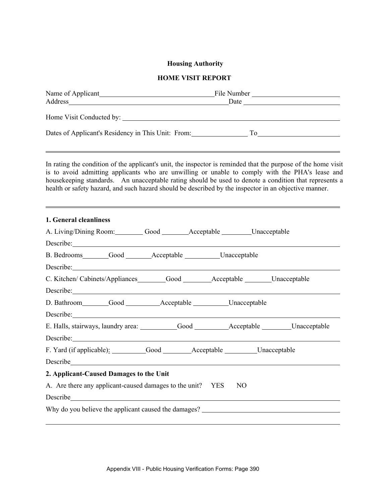#### **Housing Authority**

### **HOME VISIT REPORT**

| Dates of Applicant's Residency in This Unit: From: | To |  |
|----------------------------------------------------|----|--|
|                                                    |    |  |

In rating the condition of the applicant's unit, the inspector is reminded that the purpose of the home visit is to avoid admitting applicants who are unwilling or unable to comply with the PHA's lease and housekeeping standards. An unacceptable rating should be used to denote a condition that represents a health or safety hazard, and such hazard should be described by the inspector in an objective manner.

| 1. General cleanliness                                                                                                                                                                                                               |  |  |  |  |
|--------------------------------------------------------------------------------------------------------------------------------------------------------------------------------------------------------------------------------------|--|--|--|--|
| A. Living/Dining Room: Good _______Acceptable _______Unacceptable                                                                                                                                                                    |  |  |  |  |
| Describe:                                                                                                                                                                                                                            |  |  |  |  |
| B. Bedrooms Good Acceptable Unacceptable                                                                                                                                                                                             |  |  |  |  |
| Describe.                                                                                                                                                                                                                            |  |  |  |  |
| C. Kitchen/Cabinets/Appliances________Good _______Acceptable _______Unacceptable                                                                                                                                                     |  |  |  |  |
| Describe: <u>contract and contract and contract and contract and contract and contract and contract and contract and contract and contract and contract and contract and contract and contract and contract and contract and con</u> |  |  |  |  |
| D. Bathroom________Good__________Acceptable __________Unacceptable                                                                                                                                                                   |  |  |  |  |
|                                                                                                                                                                                                                                      |  |  |  |  |
|                                                                                                                                                                                                                                      |  |  |  |  |
| Describe: <u>contract and contract and contract and contract and contract and contract and contract and contract of the set of the set of the set of the set of the set of the set of the set of the set of the set of the set o</u> |  |  |  |  |
|                                                                                                                                                                                                                                      |  |  |  |  |
| Describe experience and the contract of the contract of the contract of the contract of the contract of the contract of the contract of the contract of the contract of the contract of the contract of the contract of the co       |  |  |  |  |
| 2. Applicant-Caused Damages to the Unit                                                                                                                                                                                              |  |  |  |  |
| A. Are there any applicant-caused damages to the unit? YES NO                                                                                                                                                                        |  |  |  |  |
| Describe experimental contract to the contract of the contract of the contract of the contract of the contract of the contract of the contract of the contract of the contract of the contract of the contract of the contract       |  |  |  |  |
| Why do you believe the applicant caused the damages?                                                                                                                                                                                 |  |  |  |  |
|                                                                                                                                                                                                                                      |  |  |  |  |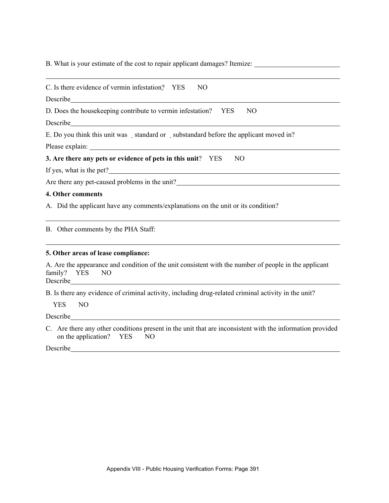B. What is your estimate of the cost to repair applicant damages? Itemize:

| C. Is there evidence of vermin infestation? YES<br>N <sub>O</sub>                                                                                                                                                                                                                                                                                                   |
|---------------------------------------------------------------------------------------------------------------------------------------------------------------------------------------------------------------------------------------------------------------------------------------------------------------------------------------------------------------------|
| Describe <u>and the second contract of the second contract of the second contract of the second contract of the second</u>                                                                                                                                                                                                                                          |
| D. Does the house keeping contribute to vermin infestation? YES<br>NO                                                                                                                                                                                                                                                                                               |
| Describe <b>Executive Contract Contract Contract Contract Contract Contract Contract Contract Contract Contract Contract Contract Contract Contract Contract Contract Contract Contract Contract Contract Contract Contract Cont</b>                                                                                                                                |
| E. Do you think this unit was standard or substandard before the applicant moved in?                                                                                                                                                                                                                                                                                |
|                                                                                                                                                                                                                                                                                                                                                                     |
| 3. Are there any pets or evidence of pets in this unit? YES<br>NO.                                                                                                                                                                                                                                                                                                  |
| If yes, what is the pet?                                                                                                                                                                                                                                                                                                                                            |
| Are there any pet-caused problems in the unit?<br><u>example 2016</u>                                                                                                                                                                                                                                                                                               |
| 4. Other comments                                                                                                                                                                                                                                                                                                                                                   |
| A. Did the applicant have any comments/explanations on the unit or its condition?                                                                                                                                                                                                                                                                                   |
| B. Other comments by the PHA Staff:<br><u> 1989 - Johann Stein, marwolaethau (b. 1989)</u>                                                                                                                                                                                                                                                                          |
| 5. Other areas of lease compliance:                                                                                                                                                                                                                                                                                                                                 |
| A. Are the appearance and condition of the unit consistent with the number of people in the applicant<br>family? YES<br>NO.<br>Describe <u>contract and the contract of the second contract of the second contract of the second contract of the second contract of the second contract of the second contract of the second contract of the second contract of</u> |

B. Is there any evidence of criminal activity, including drug-related criminal activity in the unit?

YES NO

Describe

C. Are there any other conditions present in the unit that are inconsistent with the information provided<br>on the application? YES NO on the application?  $YES$ 

Describe <u>and the contract of the contract of the contract of the contract of the contract of the contract of the contract of the contract of the contract of the contract of the contract of the contract of the contract of </u>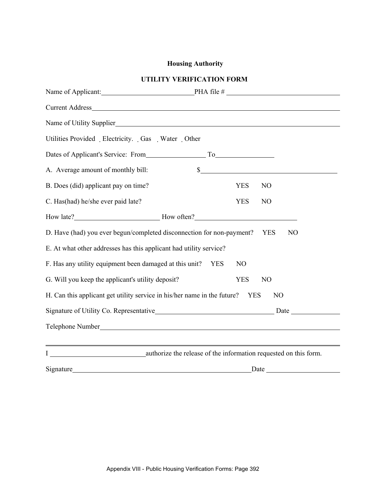# **Housing Authority**

# **UTILITY VERIFICATION FORM**

|                                                                                                          | Name of Applicant: PHA file #                                                                                        |  |  |  |  |
|----------------------------------------------------------------------------------------------------------|----------------------------------------------------------------------------------------------------------------------|--|--|--|--|
|                                                                                                          |                                                                                                                      |  |  |  |  |
|                                                                                                          | Name of Utility Supplier                                                                                             |  |  |  |  |
| Utilities Provided Electricity. Gas Water Other                                                          |                                                                                                                      |  |  |  |  |
|                                                                                                          |                                                                                                                      |  |  |  |  |
| A. Average amount of monthly bill:                                                                       | s                                                                                                                    |  |  |  |  |
| B. Does (did) applicant pay on time?                                                                     | <b>YES</b><br>N <sub>O</sub>                                                                                         |  |  |  |  |
| C. Has(had) he/she ever paid late?                                                                       | <b>YES</b><br>N <sub>O</sub>                                                                                         |  |  |  |  |
|                                                                                                          |                                                                                                                      |  |  |  |  |
| D. Have (had) you ever begun/completed disconnection for non-payment?<br>YES<br>N <sub>O</sub>           |                                                                                                                      |  |  |  |  |
| E. At what other addresses has this applicant had utility service?                                       |                                                                                                                      |  |  |  |  |
| F. Has any utility equipment been damaged at this unit?                                                  | <b>YES</b><br>N <sub>O</sub>                                                                                         |  |  |  |  |
| G. Will you keep the applicant's utility deposit?<br><b>YES</b><br>N <sub>O</sub>                        |                                                                                                                      |  |  |  |  |
| H. Can this applicant get utility service in his/her name in the future?<br><b>YES</b><br>N <sub>O</sub> |                                                                                                                      |  |  |  |  |
|                                                                                                          |                                                                                                                      |  |  |  |  |
|                                                                                                          |                                                                                                                      |  |  |  |  |
|                                                                                                          | <u> 1989 - Jan Samuel Barbara, margaret eta idazleari bat zen bat zen bat zen bat zen bat zen bat zen bat zen ba</u> |  |  |  |  |
|                                                                                                          |                                                                                                                      |  |  |  |  |
|                                                                                                          | Signature Date Date                                                                                                  |  |  |  |  |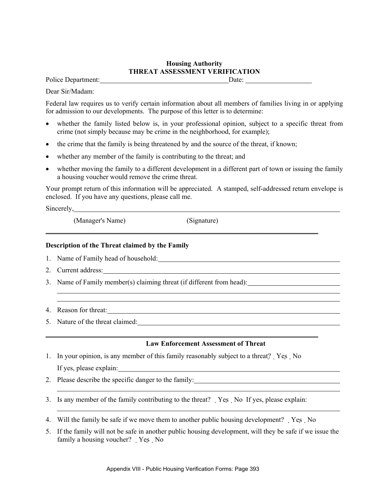## **Housing Authority THREAT ASSESSMENT VERIFICATION**

Police Department: Date: Department: Date:

Dear Sir/Madam:

Federal law requires us to verify certain information about all members of families living in or applying for admission to our developments. The purpose of this letter is to determine:

- whether the family listed below is, in your professional opinion, subject to a specific threat from crime (not simply because may be crime in the neighborhood, for example);
- the crime that the family is being threatened by and the source of the threat, if known;
- whether any member of the family is contributing to the threat; and
- whether moving the family to a different development in a different part of town or issuing the family a housing voucher would remove the crime threat.

Your prompt return of this information will be appreciated. A stamped, self-addressed return envelope is enclosed. If you have any questions, please call me.

\_\_\_\_\_\_\_\_\_\_\_\_\_\_\_\_\_\_\_\_\_\_\_\_\_\_\_\_\_\_\_\_\_\_\_\_\_\_\_\_\_\_\_\_\_\_\_\_\_\_\_\_\_\_\_\_\_\_\_\_\_\_\_\_\_\_\_\_\_\_\_\_\_\_\_\_\_\_

Sincerely, 2003.

(Manager's Name) (Signature)

### **Description of the Threat claimed by the Family**

- 1. Name of Family head of household:
- 2. Current address:
- 3. Name of Family member(s) claiming threat (if different from head):
- 4. Reason for threat:
- 5. Nature of the threat claimed:

### **Law Enforcement Assessment of Threat**

1. In your opinion, is any member of this family reasonably subject to a threat? Yes No If yes, please explain:

\_\_\_\_\_\_\_\_\_\_\_\_\_\_\_\_\_\_\_\_\_\_\_\_\_\_\_\_\_\_\_\_\_\_\_\_\_\_\_\_\_\_\_\_\_\_\_\_\_\_\_\_\_\_\_\_\_\_\_\_\_\_\_\_\_\_\_\_\_\_\_\_\_\_\_\_\_\_

- 2. Please describe the specific danger to the family:
- 3. Is any member of the family contributing to the threat? Yes No If yes, please explain:
- 4. Will the family be safe if we move them to another public housing development? Yes No
- 5. If the family will not be safe in another public housing development, will they be safe if we issue the family a housing voucher? Yes No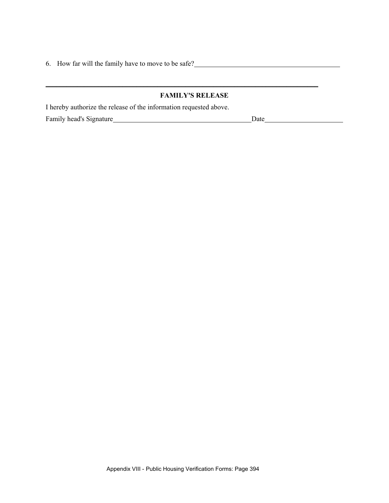6. How far will the family have to move to be safe?

# **FAMILY'S RELEASE**

\_\_\_\_\_\_\_\_\_\_\_\_\_\_\_\_\_\_\_\_\_\_\_\_\_\_\_\_\_\_\_\_\_\_\_\_\_\_\_\_\_\_\_\_\_\_\_\_\_\_\_\_\_\_\_\_\_\_\_\_\_\_\_\_\_\_\_\_\_\_\_\_\_\_\_\_\_\_

I hereby authorize the release of the information requested above.

Family head's Signature Date Date Date Date